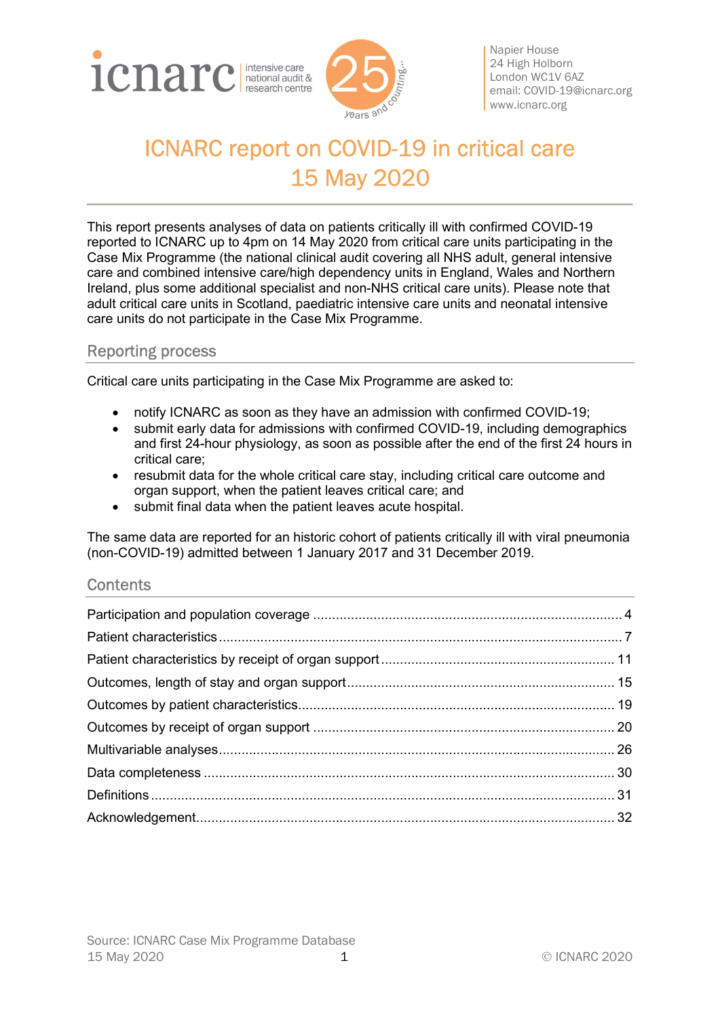



Napier House 24 High Holborn London WC1V 6AZ email: COVID-19@icnarc.org www.icnarc.org

# ICNARC report on COVID-19 in critical care 15 May 2020

This report presents analyses of data on patients critically ill with confirmed COVID-19 reported to ICNARC up to 4pm on 14 May 2020 from critical care units participating in the Case Mix Programme (the national clinical audit covering all NHS adult, general intensive care and combined intensive care/high dependency units in England, Wales and Northern Ireland, plus some additional specialist and non-NHS critical care units). Please note that adult critical care units in Scotland, paediatric intensive care units and neonatal intensive care units do not participate in the Case Mix Programme.

# Reporting process

Critical care units participating in the Case Mix Programme are asked to:

- notify ICNARC as soon as they have an admission with confirmed COVID-19;
- submit early data for admissions with confirmed COVID-19, including demographics and first 24-hour physiology, as soon as possible after the end of the first 24 hours in critical care;
- resubmit data for the whole critical care stay, including critical care outcome and organ support, when the patient leaves critical care; and
- submit final data when the patient leaves acute hospital.

The same data are reported for an historic cohort of patients critically ill with viral pneumonia (non-COVID-19) admitted between 1 January 2017 and 31 December 2019.

### **Contents**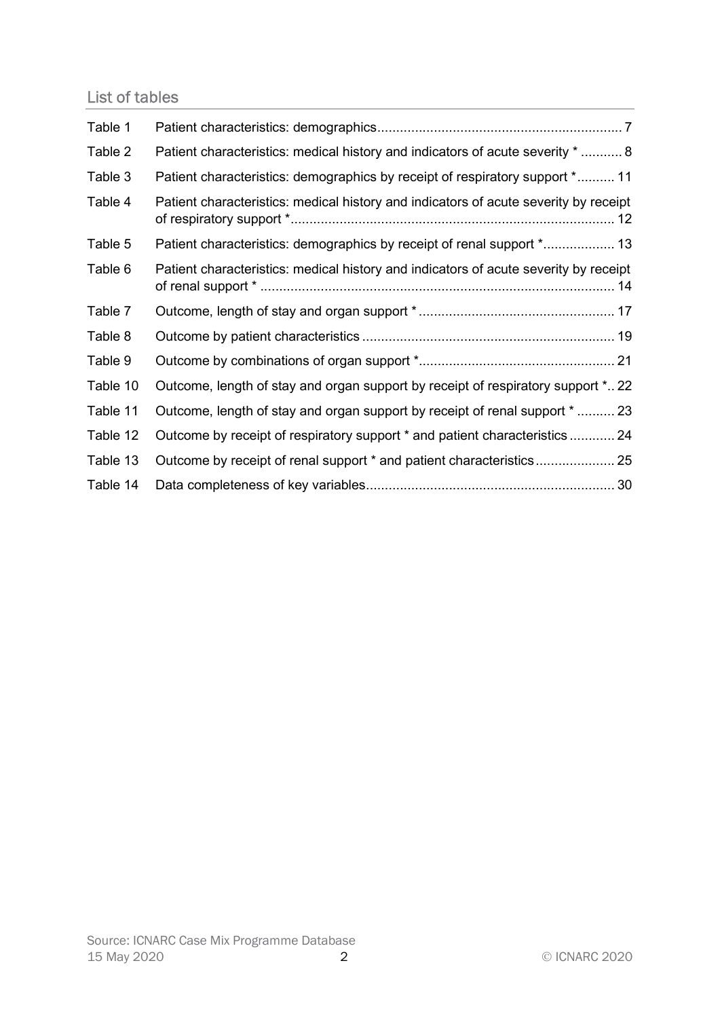# List of tables

| Table 1  |                                                                                      |
|----------|--------------------------------------------------------------------------------------|
| Table 2  | Patient characteristics: medical history and indicators of acute severity *  8       |
| Table 3  | Patient characteristics: demographics by receipt of respiratory support * 11         |
| Table 4  | Patient characteristics: medical history and indicators of acute severity by receipt |
| Table 5  | Patient characteristics: demographics by receipt of renal support * 13               |
| Table 6  | Patient characteristics: medical history and indicators of acute severity by receipt |
| Table 7  |                                                                                      |
| Table 8  |                                                                                      |
| Table 9  |                                                                                      |
| Table 10 | Outcome, length of stay and organ support by receipt of respiratory support * 22     |
| Table 11 | Outcome, length of stay and organ support by receipt of renal support $*$ 23         |
| Table 12 | Outcome by receipt of respiratory support * and patient characteristics 24           |
| Table 13 | Outcome by receipt of renal support * and patient characteristics 25                 |
| Table 14 |                                                                                      |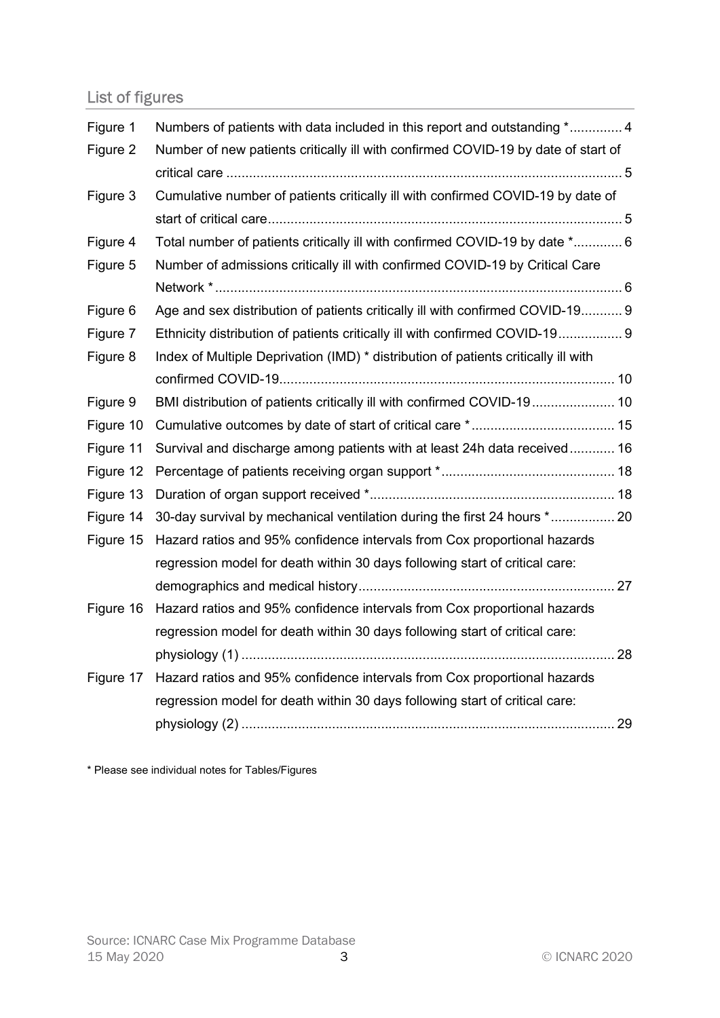# List of figures

| Figure 1  | Numbers of patients with data included in this report and outstanding * 4          |  |
|-----------|------------------------------------------------------------------------------------|--|
| Figure 2  | Number of new patients critically ill with confirmed COVID-19 by date of start of  |  |
|           |                                                                                    |  |
| Figure 3  | Cumulative number of patients critically ill with confirmed COVID-19 by date of    |  |
|           |                                                                                    |  |
| Figure 4  | Total number of patients critically ill with confirmed COVID-19 by date * 6        |  |
| Figure 5  | Number of admissions critically ill with confirmed COVID-19 by Critical Care       |  |
|           |                                                                                    |  |
| Figure 6  | Age and sex distribution of patients critically ill with confirmed COVID-19 9      |  |
| Figure 7  | Ethnicity distribution of patients critically ill with confirmed COVID-19 9        |  |
| Figure 8  | Index of Multiple Deprivation (IMD) * distribution of patients critically ill with |  |
|           |                                                                                    |  |
| Figure 9  | BMI distribution of patients critically ill with confirmed COVID-19 10             |  |
| Figure 10 |                                                                                    |  |
| Figure 11 | Survival and discharge among patients with at least 24h data received 16           |  |
| Figure 12 |                                                                                    |  |
| Figure 13 |                                                                                    |  |
| Figure 14 | 30-day survival by mechanical ventilation during the first 24 hours * 20           |  |
| Figure 15 | Hazard ratios and 95% confidence intervals from Cox proportional hazards           |  |
|           | regression model for death within 30 days following start of critical care:        |  |
|           |                                                                                    |  |
| Figure 16 | Hazard ratios and 95% confidence intervals from Cox proportional hazards           |  |
|           | regression model for death within 30 days following start of critical care:        |  |
|           |                                                                                    |  |
| Figure 17 | Hazard ratios and 95% confidence intervals from Cox proportional hazards           |  |
|           | regression model for death within 30 days following start of critical care:        |  |
|           |                                                                                    |  |

\* Please see individual notes for Tables/Figures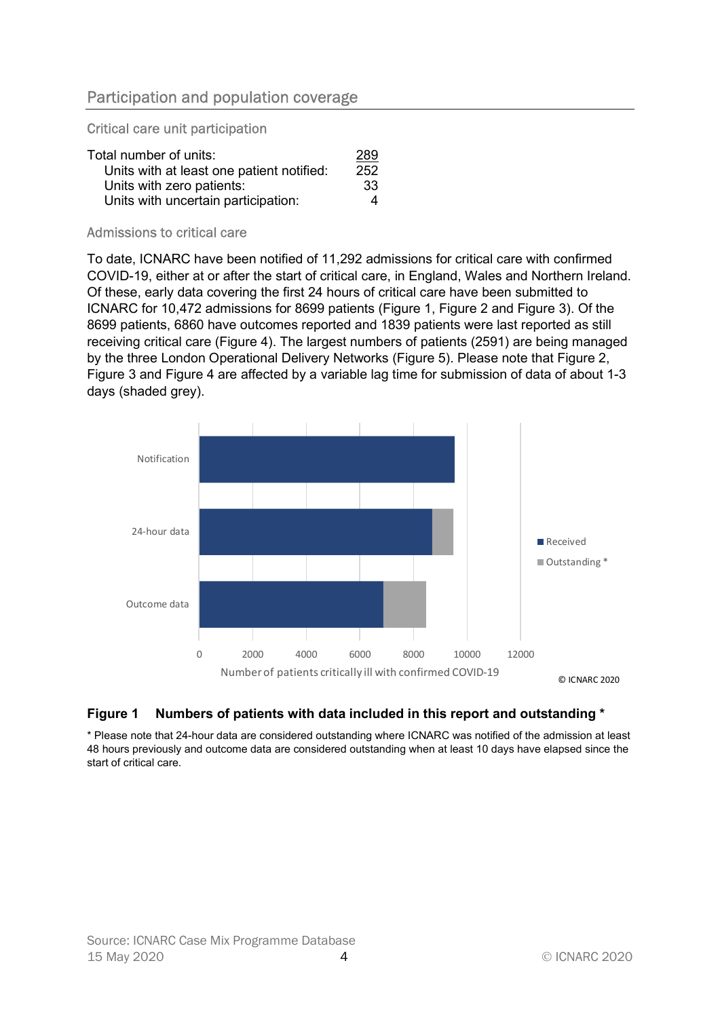# Participation and population coverage

Critical care unit participation

| Total number of units:                    | 289 |
|-------------------------------------------|-----|
| Units with at least one patient notified: | 252 |
| Units with zero patients:                 | -33 |
| Units with uncertain participation:       | Δ   |

#### Admissions to critical care

To date, ICNARC have been notified of 11,292 admissions for critical care with confirmed COVID-19, either at or after the start of critical care, in England, Wales and Northern Ireland. Of these, early data covering the first 24 hours of critical care have been submitted to ICNARC for 10,472 admissions for 8699 patients (Figure 1, Figure 2 and Figure 3). Of the 8699 patients, 6860 have outcomes reported and 1839 patients were last reported as still receiving critical care (Figure 4). The largest numbers of patients (2591) are being managed by the three London Operational Delivery Networks (Figure 5). Please note that Figure 2, Figure 3 and Figure 4 are affected by a variable lag time for submission of data of about 1-3 days (shaded grey).



#### Figure 1 Numbers of patients with data included in this report and outstanding \*

\* Please note that 24-hour data are considered outstanding where ICNARC was notified of the admission at least 48 hours previously and outcome data are considered outstanding when at least 10 days have elapsed since the start of critical care.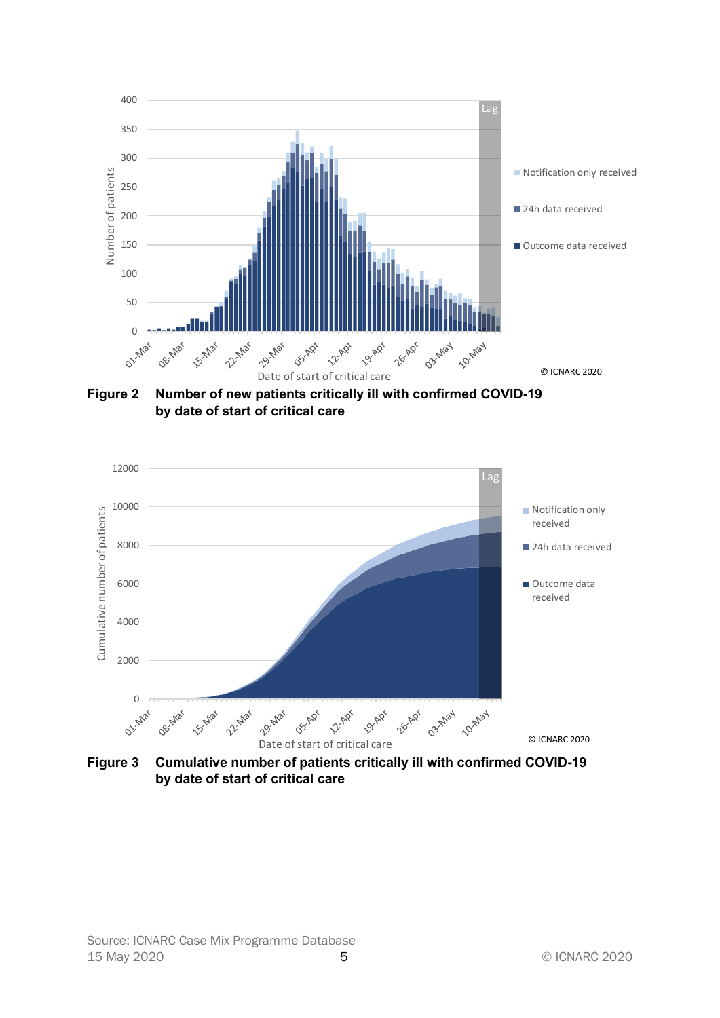

Figure 2 Number of new patients critically ill with confirmed COVID-19 by date of start of critical care

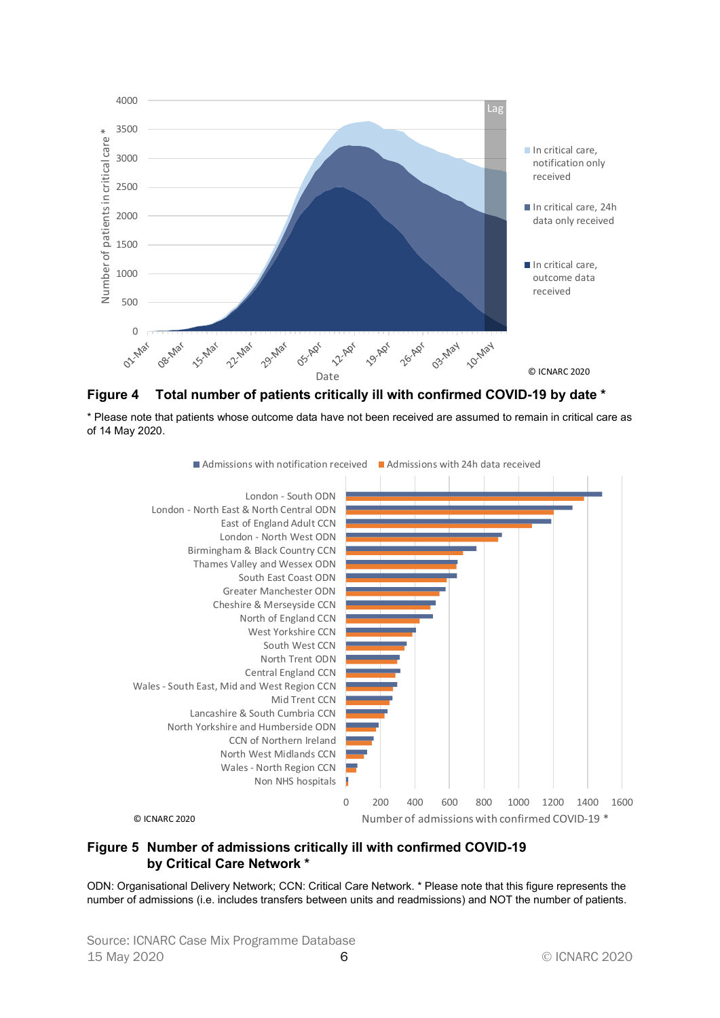



\* Please note that patients whose outcome data have not been received are assumed to remain in critical care as of 14 May 2020.



#### Figure 5 Number of admissions critically ill with confirmed COVID-19 by Critical Care Network \*

ODN: Organisational Delivery Network; CCN: Critical Care Network. \* Please note that this figure represents the number of admissions (i.e. includes transfers between units and readmissions) and NOT the number of patients.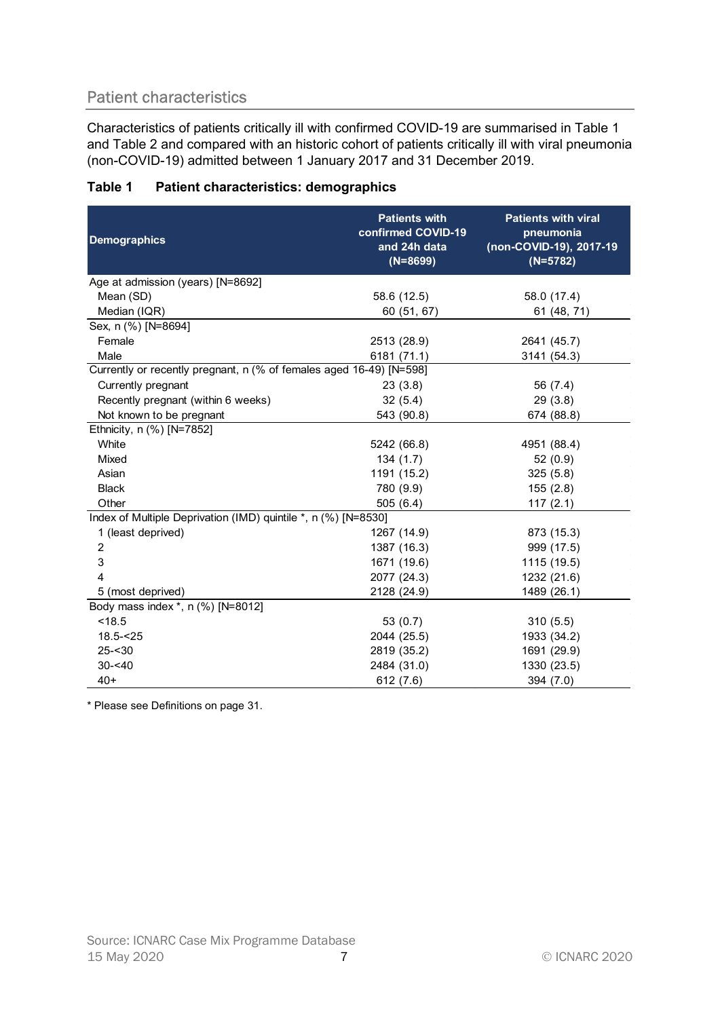# Patient characteristics

| Table 1 | <b>Patient characteristics: demographics</b> |
|---------|----------------------------------------------|
|         |                                              |

| Characteristics of patients critically ill with confirmed COVID-19 are summarised in Table 1<br>and Table 2 and compared with an historic cohort of patients critically ill with viral pneumonia<br>(non-COVID-19) admitted between 1 January 2017 and 31 December 2019. |                                                                          |                                                                                  |  |  |
|--------------------------------------------------------------------------------------------------------------------------------------------------------------------------------------------------------------------------------------------------------------------------|--------------------------------------------------------------------------|----------------------------------------------------------------------------------|--|--|
| <b>Patient characteristics: demographics</b><br>Table 1                                                                                                                                                                                                                  |                                                                          |                                                                                  |  |  |
| <b>Demographics</b>                                                                                                                                                                                                                                                      | <b>Patients with</b><br>confirmed COVID-19<br>and 24h data<br>$(N=8699)$ | <b>Patients with viral</b><br>pneumonia<br>(non-COVID-19), 2017-19<br>$(N=5782)$ |  |  |
| Age at admission (years) [N=8692]                                                                                                                                                                                                                                        |                                                                          |                                                                                  |  |  |
| Mean (SD)<br>Median (IQR)                                                                                                                                                                                                                                                | 58.6 (12.5)<br>60 (51, 67)                                               | 58.0 (17.4)<br>61 (48, 71)                                                       |  |  |
| Sex, n (%) [N=8694]                                                                                                                                                                                                                                                      |                                                                          |                                                                                  |  |  |
| Female                                                                                                                                                                                                                                                                   | 2513 (28.9)                                                              | 2641 (45.7)                                                                      |  |  |
| Male                                                                                                                                                                                                                                                                     | 6181 (71.1)                                                              | 3141 (54.3)                                                                      |  |  |
| Currently or recently pregnant, n (% of females aged 16-49) [N=598]                                                                                                                                                                                                      |                                                                          |                                                                                  |  |  |
| Currently pregnant                                                                                                                                                                                                                                                       | 23(3.8)                                                                  | 56 (7.4)                                                                         |  |  |
| Recently pregnant (within 6 weeks)                                                                                                                                                                                                                                       | 32(5.4)                                                                  | 29(3.8)                                                                          |  |  |
| Not known to be pregnant                                                                                                                                                                                                                                                 | 543 (90.8)                                                               | 674 (88.8)                                                                       |  |  |
| Ethnicity, n (%) [N=7852]                                                                                                                                                                                                                                                |                                                                          |                                                                                  |  |  |
| White                                                                                                                                                                                                                                                                    | 5242 (66.8)                                                              | 4951 (88.4)                                                                      |  |  |
| Mixed                                                                                                                                                                                                                                                                    | 134(1.7)                                                                 | 52(0.9)                                                                          |  |  |
| Asian                                                                                                                                                                                                                                                                    | 1191 (15.2)                                                              | 325(5.8)                                                                         |  |  |
| <b>Black</b>                                                                                                                                                                                                                                                             | 780 (9.9)                                                                | 155(2.8)                                                                         |  |  |
| Other                                                                                                                                                                                                                                                                    | 505(6.4)                                                                 | 117(2.1)                                                                         |  |  |
| Index of Multiple Deprivation (IMD) quintile *, n (%) [N=8530]                                                                                                                                                                                                           |                                                                          |                                                                                  |  |  |
| 1 (least deprived)                                                                                                                                                                                                                                                       | 1267 (14.9)                                                              | 873 (15.3)                                                                       |  |  |
| 2                                                                                                                                                                                                                                                                        | 1387 (16.3)                                                              | 999 (17.5)                                                                       |  |  |
| 3                                                                                                                                                                                                                                                                        | 1671 (19.6)                                                              | 1115 (19.5)                                                                      |  |  |
| Δ                                                                                                                                                                                                                                                                        | 2077 (24.3)                                                              | 1232 (21.6)                                                                      |  |  |
| 5 (most deprived)                                                                                                                                                                                                                                                        | 2128 (24.9)                                                              | 1489 (26.1)                                                                      |  |  |
| Body mass index *, n (%) [N=8012]                                                                                                                                                                                                                                        |                                                                          |                                                                                  |  |  |
| < 18.5                                                                                                                                                                                                                                                                   | 53(0.7)                                                                  | 310(5.5)                                                                         |  |  |
| $18.5 - 25$                                                                                                                                                                                                                                                              | 2044 (25.5)                                                              | 1933 (34.2)                                                                      |  |  |
| $25 - 30$                                                                                                                                                                                                                                                                | 2819 (35.2)                                                              | 1691 (29.9)                                                                      |  |  |
| $30 - 40$                                                                                                                                                                                                                                                                | 2484 (31.0)                                                              | 1330 (23.5)                                                                      |  |  |
| $40+$                                                                                                                                                                                                                                                                    | 612(7.6)                                                                 | 394(7.0)                                                                         |  |  |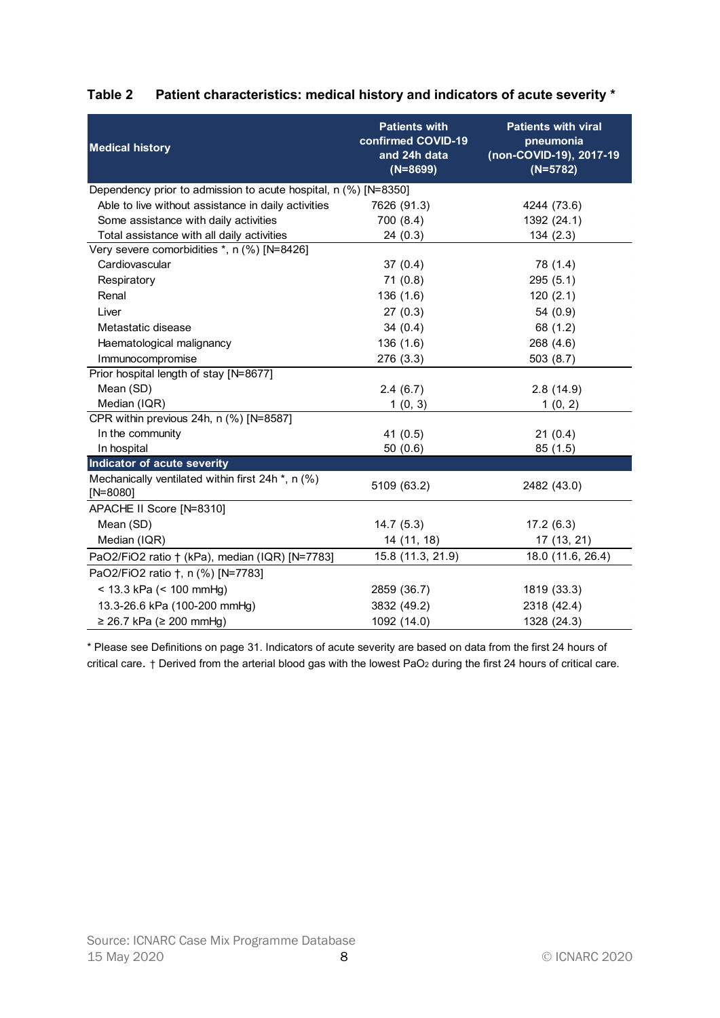| <b>Medical history</b><br>and 24h data<br>$(N=8699)$<br>$(N=5782)$<br>Dependency prior to admission to acute hospital, n (%) [N=8350]<br>Able to live without assistance in daily activities<br>7626 (91.3)<br>4244 (73.6)<br>Some assistance with daily activities<br>700 (8.4)<br>1392 (24.1)<br>Total assistance with all daily activities<br>24(0.3)<br>134(2.3)<br>Very severe comorbidities *, n (%) [N=8426]<br>Cardiovascular<br>37(0.4)<br>78 (1.4)<br>71(0.8)<br>295(5.1)<br>Respiratory<br>Renal<br>136(1.6)<br>120(2.1)<br>Liver<br>27(0.3)<br>54(0.9)<br>Metastatic disease<br>34(0.4)<br>68 (1.2)<br>Haematological malignancy<br>136(1.6)<br>268 (4.6)<br>Immunocompromise<br>276 (3.3)<br>503(8.7)<br>Prior hospital length of stay [N=8677]<br>Mean (SD)<br>2.4(6.7)<br>2.8(14.9)<br>Median (IQR)<br>1(0, 3)<br>1(0, 2)<br>CPR within previous 24h, n (%) [N=8587]<br>41 $(0.5)$<br>21(0.4)<br>In the community<br>In hospital<br>50(0.6)<br>85(1.5)<br>Indicator of acute severity<br>Mechanically ventilated within first 24h *, n (%)<br>5109 (63.2)<br>2482 (43.0)<br>$[N=8080]$<br>APACHE II Score [N=8310]<br>Mean (SD)<br>14.7(5.3)<br>17.2(6.3) |              | <b>Patients with</b><br>confirmed COVID-19 | Patient characteristics: medical history and indicators of acute severity *<br><b>Patients with viral</b><br>pneumonia |
|--------------------------------------------------------------------------------------------------------------------------------------------------------------------------------------------------------------------------------------------------------------------------------------------------------------------------------------------------------------------------------------------------------------------------------------------------------------------------------------------------------------------------------------------------------------------------------------------------------------------------------------------------------------------------------------------------------------------------------------------------------------------------------------------------------------------------------------------------------------------------------------------------------------------------------------------------------------------------------------------------------------------------------------------------------------------------------------------------------------------------------------------------------------------------|--------------|--------------------------------------------|------------------------------------------------------------------------------------------------------------------------|
|                                                                                                                                                                                                                                                                                                                                                                                                                                                                                                                                                                                                                                                                                                                                                                                                                                                                                                                                                                                                                                                                                                                                                                          |              |                                            | (non-COVID-19), 2017-19                                                                                                |
|                                                                                                                                                                                                                                                                                                                                                                                                                                                                                                                                                                                                                                                                                                                                                                                                                                                                                                                                                                                                                                                                                                                                                                          |              |                                            |                                                                                                                        |
|                                                                                                                                                                                                                                                                                                                                                                                                                                                                                                                                                                                                                                                                                                                                                                                                                                                                                                                                                                                                                                                                                                                                                                          |              |                                            |                                                                                                                        |
|                                                                                                                                                                                                                                                                                                                                                                                                                                                                                                                                                                                                                                                                                                                                                                                                                                                                                                                                                                                                                                                                                                                                                                          |              |                                            |                                                                                                                        |
|                                                                                                                                                                                                                                                                                                                                                                                                                                                                                                                                                                                                                                                                                                                                                                                                                                                                                                                                                                                                                                                                                                                                                                          |              |                                            |                                                                                                                        |
|                                                                                                                                                                                                                                                                                                                                                                                                                                                                                                                                                                                                                                                                                                                                                                                                                                                                                                                                                                                                                                                                                                                                                                          |              |                                            |                                                                                                                        |
|                                                                                                                                                                                                                                                                                                                                                                                                                                                                                                                                                                                                                                                                                                                                                                                                                                                                                                                                                                                                                                                                                                                                                                          |              |                                            |                                                                                                                        |
|                                                                                                                                                                                                                                                                                                                                                                                                                                                                                                                                                                                                                                                                                                                                                                                                                                                                                                                                                                                                                                                                                                                                                                          |              |                                            |                                                                                                                        |
|                                                                                                                                                                                                                                                                                                                                                                                                                                                                                                                                                                                                                                                                                                                                                                                                                                                                                                                                                                                                                                                                                                                                                                          |              |                                            |                                                                                                                        |
|                                                                                                                                                                                                                                                                                                                                                                                                                                                                                                                                                                                                                                                                                                                                                                                                                                                                                                                                                                                                                                                                                                                                                                          |              |                                            |                                                                                                                        |
|                                                                                                                                                                                                                                                                                                                                                                                                                                                                                                                                                                                                                                                                                                                                                                                                                                                                                                                                                                                                                                                                                                                                                                          |              |                                            |                                                                                                                        |
|                                                                                                                                                                                                                                                                                                                                                                                                                                                                                                                                                                                                                                                                                                                                                                                                                                                                                                                                                                                                                                                                                                                                                                          |              |                                            |                                                                                                                        |
|                                                                                                                                                                                                                                                                                                                                                                                                                                                                                                                                                                                                                                                                                                                                                                                                                                                                                                                                                                                                                                                                                                                                                                          |              |                                            |                                                                                                                        |
|                                                                                                                                                                                                                                                                                                                                                                                                                                                                                                                                                                                                                                                                                                                                                                                                                                                                                                                                                                                                                                                                                                                                                                          |              |                                            |                                                                                                                        |
|                                                                                                                                                                                                                                                                                                                                                                                                                                                                                                                                                                                                                                                                                                                                                                                                                                                                                                                                                                                                                                                                                                                                                                          |              |                                            |                                                                                                                        |
|                                                                                                                                                                                                                                                                                                                                                                                                                                                                                                                                                                                                                                                                                                                                                                                                                                                                                                                                                                                                                                                                                                                                                                          |              |                                            |                                                                                                                        |
|                                                                                                                                                                                                                                                                                                                                                                                                                                                                                                                                                                                                                                                                                                                                                                                                                                                                                                                                                                                                                                                                                                                                                                          |              |                                            |                                                                                                                        |
|                                                                                                                                                                                                                                                                                                                                                                                                                                                                                                                                                                                                                                                                                                                                                                                                                                                                                                                                                                                                                                                                                                                                                                          |              |                                            |                                                                                                                        |
|                                                                                                                                                                                                                                                                                                                                                                                                                                                                                                                                                                                                                                                                                                                                                                                                                                                                                                                                                                                                                                                                                                                                                                          |              |                                            |                                                                                                                        |
|                                                                                                                                                                                                                                                                                                                                                                                                                                                                                                                                                                                                                                                                                                                                                                                                                                                                                                                                                                                                                                                                                                                                                                          |              |                                            |                                                                                                                        |
|                                                                                                                                                                                                                                                                                                                                                                                                                                                                                                                                                                                                                                                                                                                                                                                                                                                                                                                                                                                                                                                                                                                                                                          |              |                                            |                                                                                                                        |
|                                                                                                                                                                                                                                                                                                                                                                                                                                                                                                                                                                                                                                                                                                                                                                                                                                                                                                                                                                                                                                                                                                                                                                          |              |                                            |                                                                                                                        |
|                                                                                                                                                                                                                                                                                                                                                                                                                                                                                                                                                                                                                                                                                                                                                                                                                                                                                                                                                                                                                                                                                                                                                                          |              |                                            |                                                                                                                        |
|                                                                                                                                                                                                                                                                                                                                                                                                                                                                                                                                                                                                                                                                                                                                                                                                                                                                                                                                                                                                                                                                                                                                                                          | Median (IQR) | 14 (11, 18)                                | 17 (13, 21)                                                                                                            |
| 15.8 (11.3, 21.9)<br>PaO2/FiO2 ratio + (kPa), median (IQR) [N=7783]                                                                                                                                                                                                                                                                                                                                                                                                                                                                                                                                                                                                                                                                                                                                                                                                                                                                                                                                                                                                                                                                                                      |              |                                            | 18.0 (11.6, 26.4)                                                                                                      |
| PaO2/FiO2 ratio †, n (%) [N=7783]                                                                                                                                                                                                                                                                                                                                                                                                                                                                                                                                                                                                                                                                                                                                                                                                                                                                                                                                                                                                                                                                                                                                        |              |                                            |                                                                                                                        |
| < 13.3 kPa (< 100 mmHg)<br>2859 (36.7)<br>1819 (33.3)                                                                                                                                                                                                                                                                                                                                                                                                                                                                                                                                                                                                                                                                                                                                                                                                                                                                                                                                                                                                                                                                                                                    |              |                                            |                                                                                                                        |
| 13.3-26.6 kPa (100-200 mmHg)<br>3832 (49.2)<br>2318 (42.4)                                                                                                                                                                                                                                                                                                                                                                                                                                                                                                                                                                                                                                                                                                                                                                                                                                                                                                                                                                                                                                                                                                               |              |                                            |                                                                                                                        |
| $≥ 26.7$ kPa (≥ 200 mmHg)<br>1092 (14.0)<br>1328 (24.3)                                                                                                                                                                                                                                                                                                                                                                                                                                                                                                                                                                                                                                                                                                                                                                                                                                                                                                                                                                                                                                                                                                                  |              |                                            |                                                                                                                        |

# Table 2 Patient characteristics: medical history and indicators of acute severity \*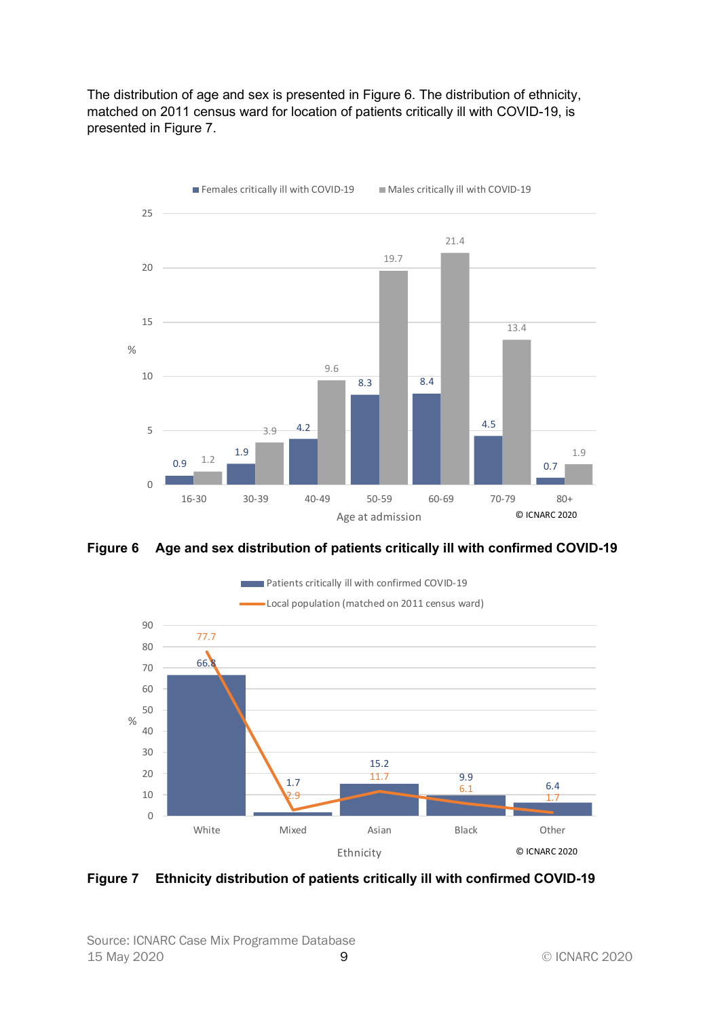The distribution of age and sex is presented in Figure 6. The distribution of ethnicity, matched on 2011 census ward for location of patients critically ill with COVID-19, is presented in Figure 7.



Figure 6 Age and sex distribution of patients critically ill with confirmed COVID-19



Figure 7 Ethnicity distribution of patients critically ill with confirmed COVID-19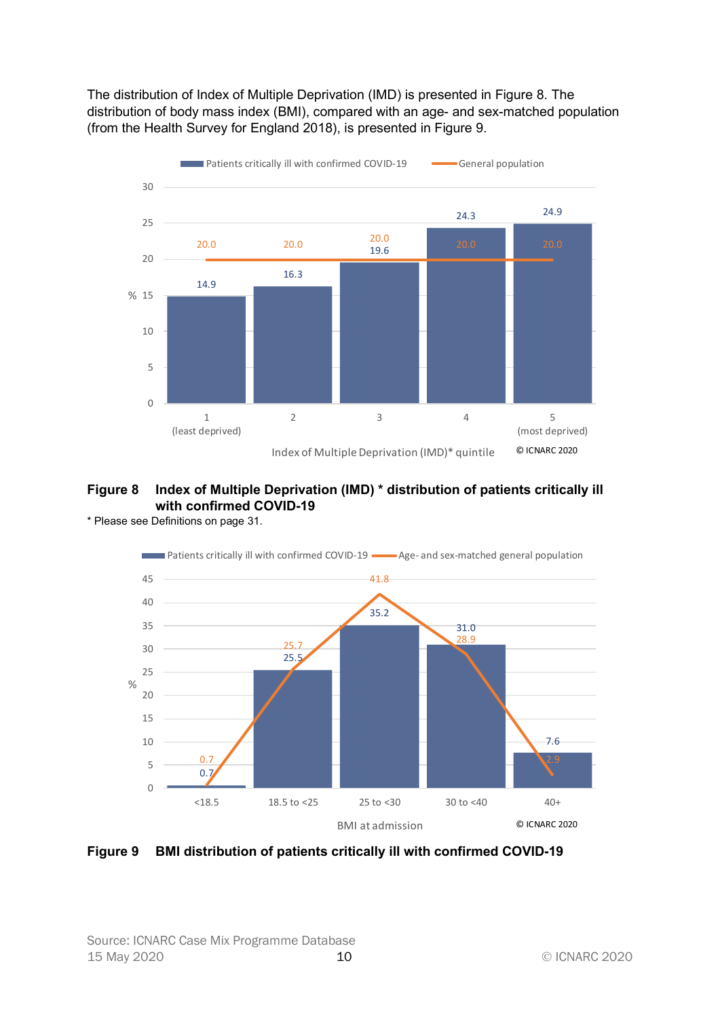The distribution of Index of Multiple Deprivation (IMD) is presented in Figure 8. The distribution of body mass index (BMI), compared with an age- and sex-matched population (from the Health Survey for England 2018), is presented in Figure 9.



# Figure 8 Index of Multiple Deprivation (IMD) \* distribution of patients critically ill with confirmed COVID-19

\* Please see Definitions on page 31.



Figure 9 BMI distribution of patients critically ill with confirmed COVID-19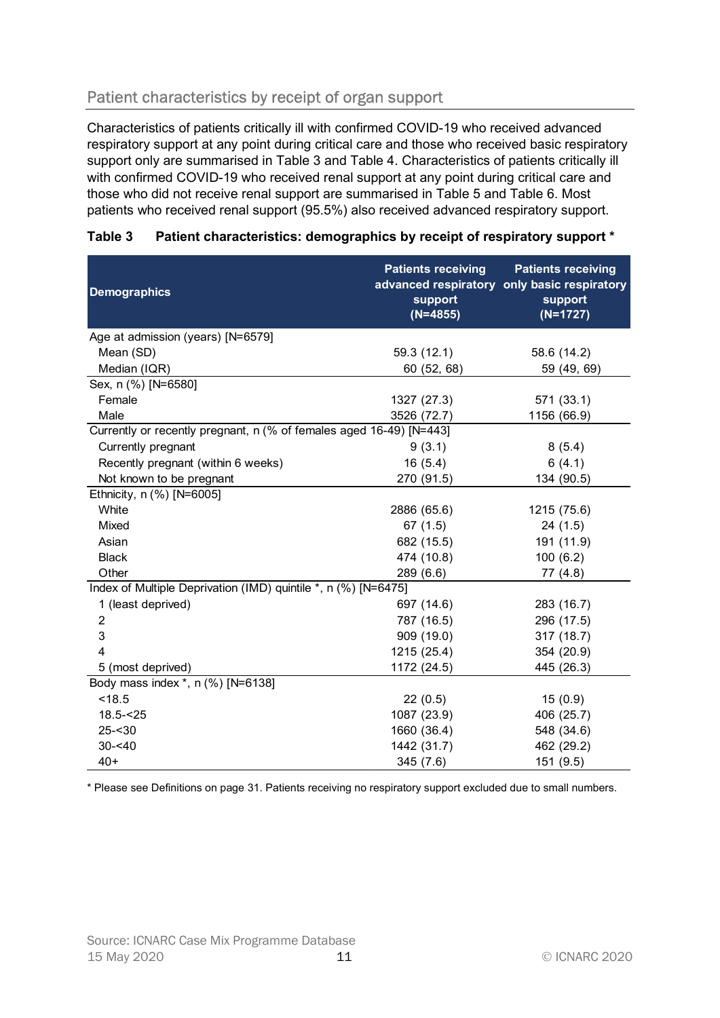# Patient characteristics by receipt of organ support

| Patient characteristics by receipt of organ support                                                                                                                                                                                                                                                                                                                                                                                                                                                                                                                        |                                                    |                                                                                                   |
|----------------------------------------------------------------------------------------------------------------------------------------------------------------------------------------------------------------------------------------------------------------------------------------------------------------------------------------------------------------------------------------------------------------------------------------------------------------------------------------------------------------------------------------------------------------------------|----------------------------------------------------|---------------------------------------------------------------------------------------------------|
| Characteristics of patients critically ill with confirmed COVID-19 who received advanced<br>respiratory support at any point during critical care and those who received basic respiratory<br>support only are summarised in Table 3 and Table 4. Characteristics of patients critically ill<br>with confirmed COVID-19 who received renal support at any point during critical care and<br>those who did not receive renal support are summarised in Table 5 and Table 6. Most<br>patients who received renal support (95.5%) also received advanced respiratory support. |                                                    |                                                                                                   |
| Table 3<br>Patient characteristics: demographics by receipt of respiratory support *                                                                                                                                                                                                                                                                                                                                                                                                                                                                                       |                                                    |                                                                                                   |
| <b>Demographics</b>                                                                                                                                                                                                                                                                                                                                                                                                                                                                                                                                                        | <b>Patients receiving</b><br>support<br>$(N=4855)$ | <b>Patients receiving</b><br>advanced respiratory only basic respiratory<br>support<br>$(N=1727)$ |
| Age at admission (years) [N=6579]                                                                                                                                                                                                                                                                                                                                                                                                                                                                                                                                          |                                                    |                                                                                                   |
| Mean (SD)                                                                                                                                                                                                                                                                                                                                                                                                                                                                                                                                                                  | 59.3 (12.1)                                        | 58.6 (14.2)                                                                                       |
| Median (IQR)                                                                                                                                                                                                                                                                                                                                                                                                                                                                                                                                                               | 60 (52, 68)                                        | 59 (49, 69)                                                                                       |
| Sex, n (%) [N=6580]                                                                                                                                                                                                                                                                                                                                                                                                                                                                                                                                                        |                                                    |                                                                                                   |
| Female                                                                                                                                                                                                                                                                                                                                                                                                                                                                                                                                                                     | 1327 (27.3)                                        | 571 (33.1)                                                                                        |
| Male                                                                                                                                                                                                                                                                                                                                                                                                                                                                                                                                                                       | 3526 (72.7)                                        | 1156 (66.9)                                                                                       |
| Currently or recently pregnant, n (% of females aged 16-49) [N=443]                                                                                                                                                                                                                                                                                                                                                                                                                                                                                                        |                                                    |                                                                                                   |
| Currently pregnant                                                                                                                                                                                                                                                                                                                                                                                                                                                                                                                                                         | 9(3.1)                                             | 8(5.4)                                                                                            |
| Recently pregnant (within 6 weeks)                                                                                                                                                                                                                                                                                                                                                                                                                                                                                                                                         | 16(5.4)                                            | 6(4.1)                                                                                            |
| Not known to be pregnant                                                                                                                                                                                                                                                                                                                                                                                                                                                                                                                                                   | 270 (91.5)                                         | 134 (90.5)                                                                                        |
| Ethnicity, n (%) [N=6005]                                                                                                                                                                                                                                                                                                                                                                                                                                                                                                                                                  |                                                    |                                                                                                   |
| White                                                                                                                                                                                                                                                                                                                                                                                                                                                                                                                                                                      | 2886 (65.6)                                        | 1215 (75.6)                                                                                       |
| Mixed                                                                                                                                                                                                                                                                                                                                                                                                                                                                                                                                                                      | 67(1.5)                                            | 24(1.5)                                                                                           |
| Asian                                                                                                                                                                                                                                                                                                                                                                                                                                                                                                                                                                      | 682 (15.5)                                         | 191 (11.9)                                                                                        |
| <b>Black</b>                                                                                                                                                                                                                                                                                                                                                                                                                                                                                                                                                               | 474 (10.8)                                         | 100(6.2)                                                                                          |
| Other                                                                                                                                                                                                                                                                                                                                                                                                                                                                                                                                                                      | 289 (6.6)                                          | 77(4.8)                                                                                           |
| Index of Multiple Deprivation (IMD) quintile *, n (%) [N=6475]                                                                                                                                                                                                                                                                                                                                                                                                                                                                                                             |                                                    |                                                                                                   |
| 1 (least deprived)                                                                                                                                                                                                                                                                                                                                                                                                                                                                                                                                                         | 697 (14.6)                                         | 283 (16.7)                                                                                        |
| 2                                                                                                                                                                                                                                                                                                                                                                                                                                                                                                                                                                          | 787 (16.5)                                         | 296 (17.5)                                                                                        |
| 3                                                                                                                                                                                                                                                                                                                                                                                                                                                                                                                                                                          | 909 (19.0)                                         | 317 (18.7)                                                                                        |
|                                                                                                                                                                                                                                                                                                                                                                                                                                                                                                                                                                            | 1215 (25.4)                                        | 354 (20.9)                                                                                        |
| 5 (most deprived)                                                                                                                                                                                                                                                                                                                                                                                                                                                                                                                                                          | 1172 (24.5)                                        | 445 (26.3)                                                                                        |
| Body mass index *, n (%) [N=6138]                                                                                                                                                                                                                                                                                                                                                                                                                                                                                                                                          |                                                    |                                                                                                   |
| < 18.5                                                                                                                                                                                                                                                                                                                                                                                                                                                                                                                                                                     | 22(0.5)                                            | 15(0.9)                                                                                           |
| $18.5 - 25$                                                                                                                                                                                                                                                                                                                                                                                                                                                                                                                                                                | 1087 (23.9)                                        | 406 (25.7)                                                                                        |
| $25 - 30$                                                                                                                                                                                                                                                                                                                                                                                                                                                                                                                                                                  | 1660 (36.4)                                        | 548 (34.6)                                                                                        |
| $30 - 40$<br>$40+$                                                                                                                                                                                                                                                                                                                                                                                                                                                                                                                                                         | 1442 (31.7)                                        | 462 (29.2)                                                                                        |
|                                                                                                                                                                                                                                                                                                                                                                                                                                                                                                                                                                            | 345 (7.6)                                          | 151 (9.5)                                                                                         |

#### Table 3 Patient characteristics: demographics by receipt of respiratory support \*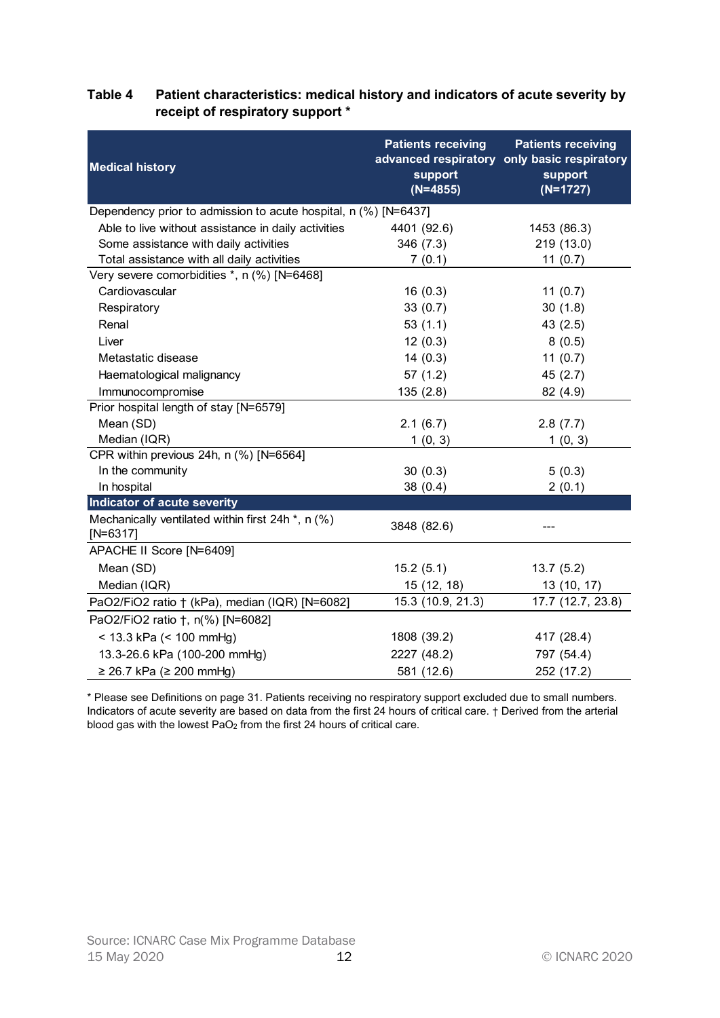|                                                                                              | <b>Patients receiving</b> | <b>Patients receiving</b>                              |
|----------------------------------------------------------------------------------------------|---------------------------|--------------------------------------------------------|
| <b>Medical history</b>                                                                       | support                   | advanced respiratory only basic respiratory<br>support |
|                                                                                              | $(N=4855)$                | $(N=1727)$                                             |
| Dependency prior to admission to acute hospital, n (%) [N=6437]                              |                           |                                                        |
| Able to live without assistance in daily activities<br>Some assistance with daily activities | 4401 (92.6)               | 1453 (86.3)                                            |
| Total assistance with all daily activities                                                   | 346(7.3)<br>7(0.1)        | 219 (13.0)<br>11(0.7)                                  |
| Very severe comorbidities *, n (%) [N=6468]                                                  |                           |                                                        |
| Cardiovascular                                                                               | 16(0.3)                   | 11 $(0.7)$                                             |
| Respiratory                                                                                  | 33(0.7)                   | 30(1.8)                                                |
| Renal                                                                                        |                           |                                                        |
|                                                                                              | 53(1.1)                   | 43(2.5)                                                |
| Liver                                                                                        | 12(0.3)                   | 8(0.5)                                                 |
| Metastatic disease                                                                           | 14(0.3)                   | 11 $(0.7)$                                             |
| Haematological malignancy                                                                    | 57(1.2)                   | 45(2.7)                                                |
| Immunocompromise                                                                             | 135(2.8)                  | 82 (4.9)                                               |
| Prior hospital length of stay [N=6579]                                                       |                           |                                                        |
| Mean (SD)                                                                                    | 2.1(6.7)                  | 2.8(7.7)                                               |
| Median (IQR)                                                                                 | 1(0, 3)                   | 1(0, 3)                                                |
| CPR within previous 24h, n (%) [N=6564]                                                      |                           |                                                        |
| In the community                                                                             | 30(0.3)                   | 5(0.3)                                                 |
| In hospital                                                                                  | 38(0.4)                   | 2(0.1)                                                 |
| Indicator of acute severity                                                                  |                           |                                                        |
| Mechanically ventilated within first 24h *, n (%)<br>$[N=6317]$                              | 3848 (82.6)               |                                                        |
| APACHE II Score [N=6409]                                                                     |                           |                                                        |
| Mean (SD)                                                                                    | 15.2(5.1)                 | 13.7(5.2)                                              |
| Median (IQR)                                                                                 | 15 (12, 18)               | 13 (10, 17)                                            |
| PaO2/FiO2 ratio † (kPa), median (IQR) [N=6082]                                               | 15.3 (10.9, 21.3)         | 17.7 (12.7, 23.8)                                      |
| PaO2/FiO2 ratio †, n(%) [N=6082]                                                             |                           |                                                        |
| $<$ 13.3 kPa ( $<$ 100 mmHg)                                                                 | 1808 (39.2)               | 417 (28.4)                                             |
| 13.3-26.6 kPa (100-200 mmHg)                                                                 | 2227 (48.2)               | 797 (54.4)                                             |
|                                                                                              |                           |                                                        |
| $≥ 26.7$ kPa (≥ 200 mmHg)                                                                    | 581 (12.6)                | 252 (17.2)                                             |

### Table 4 Patient characteristics: medical history and indicators of acute severity by receipt of respiratory support \*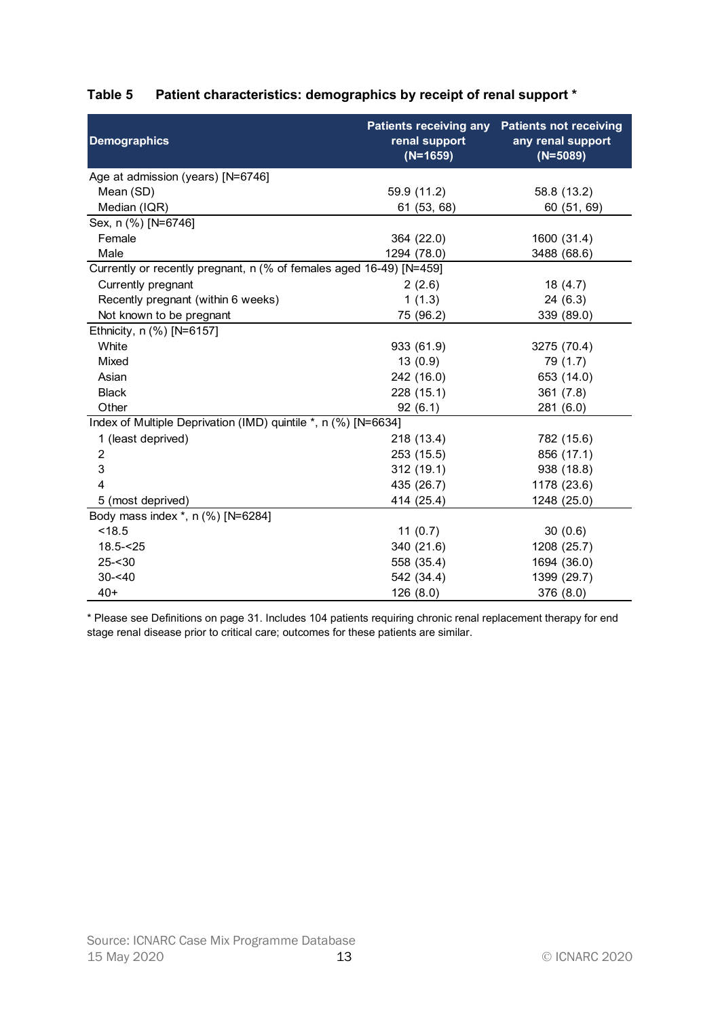| renal support<br><b>Demographics</b><br>any renal support<br>$(N=1659)$<br>$(N=5089)$<br>Age at admission (years) [N=6746]<br>Mean (SD)<br>59.9 (11.2)<br>58.8 (13.2)<br>Median (IQR)<br>61 (53, 68)<br>60 (51, 69)<br>Sex, n (%) [N=6746]<br>364 (22.0)<br>1600 (31.4)<br>Female<br>1294 (78.0)<br>Male<br>3488 (68.6)<br>Currently or recently pregnant, n (% of females aged 16-49) [N=459]<br>Currently pregnant<br>2(2.6)<br>18(4.7)<br>Recently pregnant (within 6 weeks)<br>1(1.3)<br>24(6.3)<br>Not known to be pregnant<br>75 (96.2)<br>339 (89.0)<br>Ethnicity, n (%) [N=6157]<br>White<br>933 (61.9)<br>3275 (70.4)<br>Mixed<br>13(0.9)<br>79 (1.7)<br>Asian<br>242 (16.0)<br>653 (14.0)<br>228 (15.1)<br><b>Black</b><br>361(7.8)<br>Other<br>92(6.1)<br>281 (6.0)<br>Index of Multiple Deprivation (IMD) quintile *, n (%) [N=6634]<br>1 (least deprived)<br>218 (13.4)<br>782 (15.6)<br>856 (17.1)<br>253 (15.5)<br>2<br>312(19.1)<br>938 (18.8)<br>3<br>435 (26.7)<br>1178 (23.6)<br>414 (25.4)<br>1248 (25.0)<br>5 (most deprived)<br>Body mass index *, n (%) [N=6284] | Table 5<br>Patient characteristics: demographics by receipt of renal support *<br><b>Patients receiving any</b><br><b>Patients not receiving</b> |
|-----------------------------------------------------------------------------------------------------------------------------------------------------------------------------------------------------------------------------------------------------------------------------------------------------------------------------------------------------------------------------------------------------------------------------------------------------------------------------------------------------------------------------------------------------------------------------------------------------------------------------------------------------------------------------------------------------------------------------------------------------------------------------------------------------------------------------------------------------------------------------------------------------------------------------------------------------------------------------------------------------------------------------------------------------------------------------------------|--------------------------------------------------------------------------------------------------------------------------------------------------|
|                                                                                                                                                                                                                                                                                                                                                                                                                                                                                                                                                                                                                                                                                                                                                                                                                                                                                                                                                                                                                                                                                         |                                                                                                                                                  |
|                                                                                                                                                                                                                                                                                                                                                                                                                                                                                                                                                                                                                                                                                                                                                                                                                                                                                                                                                                                                                                                                                         |                                                                                                                                                  |
|                                                                                                                                                                                                                                                                                                                                                                                                                                                                                                                                                                                                                                                                                                                                                                                                                                                                                                                                                                                                                                                                                         |                                                                                                                                                  |
|                                                                                                                                                                                                                                                                                                                                                                                                                                                                                                                                                                                                                                                                                                                                                                                                                                                                                                                                                                                                                                                                                         |                                                                                                                                                  |
|                                                                                                                                                                                                                                                                                                                                                                                                                                                                                                                                                                                                                                                                                                                                                                                                                                                                                                                                                                                                                                                                                         |                                                                                                                                                  |
|                                                                                                                                                                                                                                                                                                                                                                                                                                                                                                                                                                                                                                                                                                                                                                                                                                                                                                                                                                                                                                                                                         |                                                                                                                                                  |
|                                                                                                                                                                                                                                                                                                                                                                                                                                                                                                                                                                                                                                                                                                                                                                                                                                                                                                                                                                                                                                                                                         |                                                                                                                                                  |
|                                                                                                                                                                                                                                                                                                                                                                                                                                                                                                                                                                                                                                                                                                                                                                                                                                                                                                                                                                                                                                                                                         |                                                                                                                                                  |
|                                                                                                                                                                                                                                                                                                                                                                                                                                                                                                                                                                                                                                                                                                                                                                                                                                                                                                                                                                                                                                                                                         |                                                                                                                                                  |
|                                                                                                                                                                                                                                                                                                                                                                                                                                                                                                                                                                                                                                                                                                                                                                                                                                                                                                                                                                                                                                                                                         |                                                                                                                                                  |
|                                                                                                                                                                                                                                                                                                                                                                                                                                                                                                                                                                                                                                                                                                                                                                                                                                                                                                                                                                                                                                                                                         |                                                                                                                                                  |
|                                                                                                                                                                                                                                                                                                                                                                                                                                                                                                                                                                                                                                                                                                                                                                                                                                                                                                                                                                                                                                                                                         |                                                                                                                                                  |
|                                                                                                                                                                                                                                                                                                                                                                                                                                                                                                                                                                                                                                                                                                                                                                                                                                                                                                                                                                                                                                                                                         |                                                                                                                                                  |
|                                                                                                                                                                                                                                                                                                                                                                                                                                                                                                                                                                                                                                                                                                                                                                                                                                                                                                                                                                                                                                                                                         |                                                                                                                                                  |
|                                                                                                                                                                                                                                                                                                                                                                                                                                                                                                                                                                                                                                                                                                                                                                                                                                                                                                                                                                                                                                                                                         |                                                                                                                                                  |
|                                                                                                                                                                                                                                                                                                                                                                                                                                                                                                                                                                                                                                                                                                                                                                                                                                                                                                                                                                                                                                                                                         |                                                                                                                                                  |
|                                                                                                                                                                                                                                                                                                                                                                                                                                                                                                                                                                                                                                                                                                                                                                                                                                                                                                                                                                                                                                                                                         |                                                                                                                                                  |
|                                                                                                                                                                                                                                                                                                                                                                                                                                                                                                                                                                                                                                                                                                                                                                                                                                                                                                                                                                                                                                                                                         |                                                                                                                                                  |
|                                                                                                                                                                                                                                                                                                                                                                                                                                                                                                                                                                                                                                                                                                                                                                                                                                                                                                                                                                                                                                                                                         |                                                                                                                                                  |
|                                                                                                                                                                                                                                                                                                                                                                                                                                                                                                                                                                                                                                                                                                                                                                                                                                                                                                                                                                                                                                                                                         |                                                                                                                                                  |
|                                                                                                                                                                                                                                                                                                                                                                                                                                                                                                                                                                                                                                                                                                                                                                                                                                                                                                                                                                                                                                                                                         |                                                                                                                                                  |
|                                                                                                                                                                                                                                                                                                                                                                                                                                                                                                                                                                                                                                                                                                                                                                                                                                                                                                                                                                                                                                                                                         |                                                                                                                                                  |
|                                                                                                                                                                                                                                                                                                                                                                                                                                                                                                                                                                                                                                                                                                                                                                                                                                                                                                                                                                                                                                                                                         |                                                                                                                                                  |
|                                                                                                                                                                                                                                                                                                                                                                                                                                                                                                                                                                                                                                                                                                                                                                                                                                                                                                                                                                                                                                                                                         |                                                                                                                                                  |
| < 18.5                                                                                                                                                                                                                                                                                                                                                                                                                                                                                                                                                                                                                                                                                                                                                                                                                                                                                                                                                                                                                                                                                  | 11 $(0.7)$<br>30(0.6)                                                                                                                            |
| $18.5 - 25$<br>340 (21.6)<br>1208 (25.7)                                                                                                                                                                                                                                                                                                                                                                                                                                                                                                                                                                                                                                                                                                                                                                                                                                                                                                                                                                                                                                                |                                                                                                                                                  |
| $25 - 30$<br>558 (35.4)<br>1694 (36.0)                                                                                                                                                                                                                                                                                                                                                                                                                                                                                                                                                                                                                                                                                                                                                                                                                                                                                                                                                                                                                                                  |                                                                                                                                                  |
| $30 - 40$<br>542 (34.4)<br>1399 (29.7)                                                                                                                                                                                                                                                                                                                                                                                                                                                                                                                                                                                                                                                                                                                                                                                                                                                                                                                                                                                                                                                  |                                                                                                                                                  |
| $40+$<br>126(8.0)<br>376 (8.0)                                                                                                                                                                                                                                                                                                                                                                                                                                                                                                                                                                                                                                                                                                                                                                                                                                                                                                                                                                                                                                                          |                                                                                                                                                  |

# Table 5 Patient characteristics: demographics by receipt of renal support \*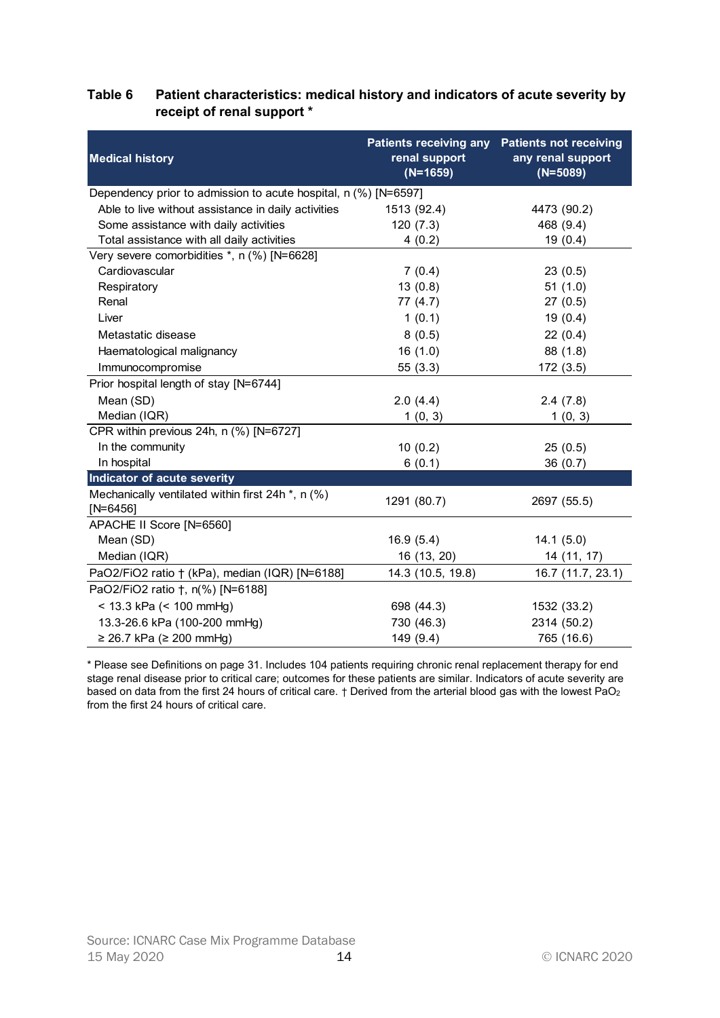#### Table 6 Patient characteristics: medical history and indicators of acute severity by receipt of renal support \*

|                                                                 | <b>Patients receiving any</b> | <b>Patients not receiving</b>   |
|-----------------------------------------------------------------|-------------------------------|---------------------------------|
| <b>Medical history</b>                                          | renal support<br>$(N=1659)$   | any renal support<br>$(N=5089)$ |
| Dependency prior to admission to acute hospital, n (%) [N=6597] |                               |                                 |
| Able to live without assistance in daily activities             | 1513 (92.4)                   | 4473 (90.2)                     |
| Some assistance with daily activities                           | 120(7.3)                      | 468 (9.4)                       |
| Total assistance with all daily activities                      | 4(0.2)                        | 19(0.4)                         |
| Very severe comorbidities *, n (%) [N=6628]                     |                               |                                 |
| Cardiovascular                                                  | 7(0.4)                        | 23(0.5)                         |
| Respiratory                                                     | 13(0.8)                       | 51(1.0)                         |
| Renal                                                           | 77(4.7)                       | 27(0.5)                         |
| Liver                                                           | 1(0.1)                        | 19(0.4)                         |
| Metastatic disease                                              | 8(0.5)                        | 22(0.4)                         |
| Haematological malignancy                                       | 16(1.0)                       | 88 (1.8)                        |
| Immunocompromise                                                | 55(3.3)                       | 172 (3.5)                       |
| Prior hospital length of stay [N=6744]                          |                               |                                 |
| Mean (SD)                                                       | 2.0(4.4)                      | 2.4(7.8)                        |
| Median (IQR)                                                    | 1(0, 3)                       | 1(0, 3)                         |
| CPR within previous 24h, n (%) [N=6727]                         |                               |                                 |
| In the community                                                | 10(0.2)                       | 25(0.5)                         |
| In hospital                                                     | 6(0.1)                        | 36(0.7)                         |
| Indicator of acute severity                                     |                               |                                 |
| Mechanically ventilated within first 24h *, n (%)<br>$[N=6456]$ | 1291 (80.7)                   | 2697 (55.5)                     |
| APACHE II Score [N=6560]                                        |                               |                                 |
| Mean (SD)                                                       | 16.9(5.4)                     | 14.1(5.0)                       |
| Median (IQR)                                                    | 16 (13, 20)                   | 14 (11, 17)                     |
| PaO2/FiO2 ratio + (kPa), median (IQR) [N=6188]                  | 14.3 (10.5, 19.8)             | 16.7 (11.7, 23.1)               |
| PaO2/FiO2 ratio †, n(%) [N=6188]                                |                               |                                 |
| < 13.3 kPa (< 100 mmHg)                                         | 698 (44.3)                    | 1532 (33.2)                     |
| 13.3-26.6 kPa (100-200 mmHg)                                    | 730 (46.3)                    | 2314 (50.2)                     |
| $≥ 26.7$ kPa (≥ 200 mmHg)                                       | 149 (9.4)                     | 765 (16.6)                      |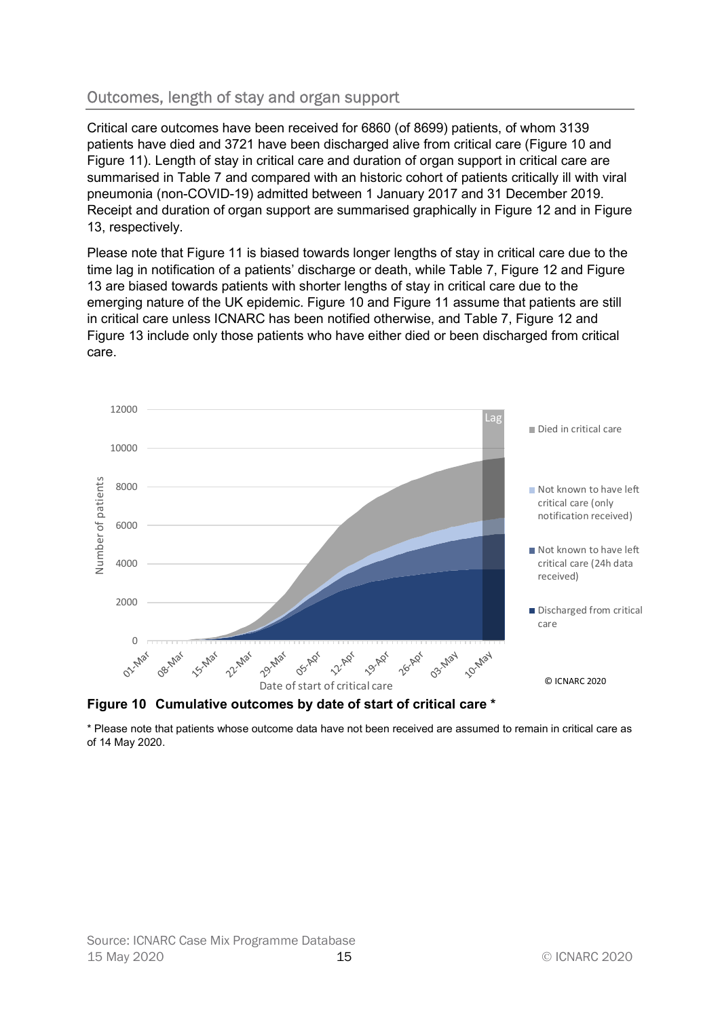# Outcomes, length of stay and organ support

Critical care outcomes have been received for 6860 (of 8699) patients, of whom 3139 patients have died and 3721 have been discharged alive from critical care (Figure 10 and Figure 11). Length of stay in critical care and duration of organ support in critical care are summarised in Table 7 and compared with an historic cohort of patients critically ill with viral pneumonia (non-COVID-19) admitted between 1 January 2017 and 31 December 2019. Receipt and duration of organ support are summarised graphically in Figure 12 and in Figure 13, respectively.

Please note that Figure 11 is biased towards longer lengths of stay in critical care due to the time lag in notification of a patients' discharge or death, while Table 7, Figure 12 and Figure 13 are biased towards patients with shorter lengths of stay in critical care due to the emerging nature of the UK epidemic. Figure 10 and Figure 11 assume that patients are still in critical care unless ICNARC has been notified otherwise, and Table 7, Figure 12 and Figure 13 include only those patients who have either died or been discharged from critical care.





\* Please note that patients whose outcome data have not been received are assumed to remain in critical care as of 14 May 2020.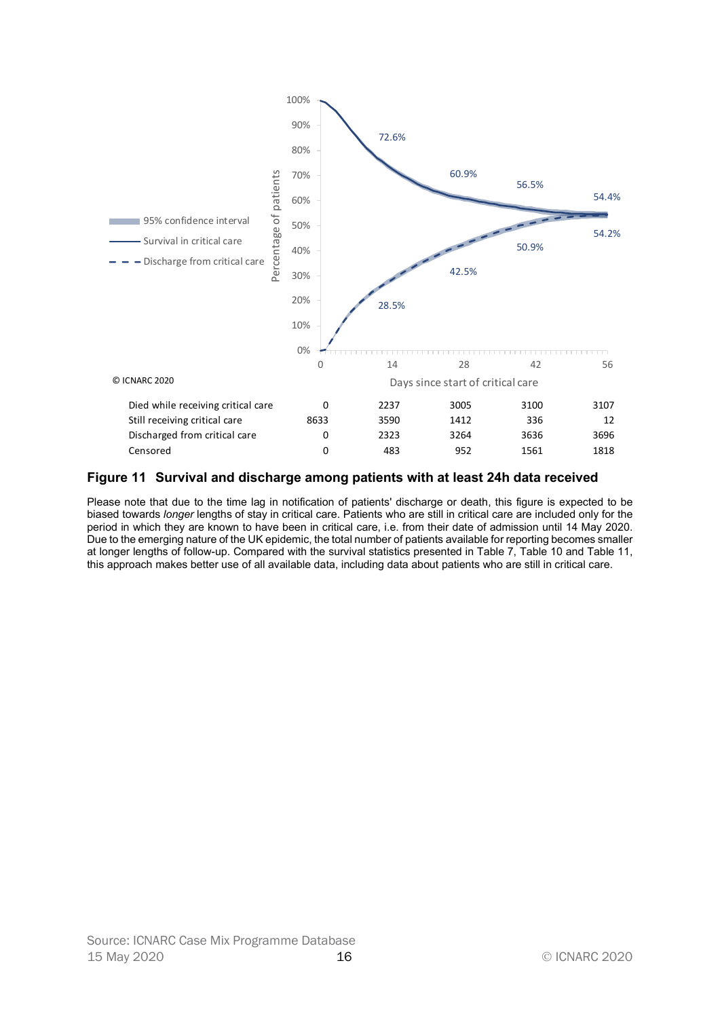

#### Figure 11 Survival and discharge among patients with at least 24h data received

Please note that due to the time lag in notification of patients' discharge or death, this figure is expected to be biased towards longer lengths of stay in critical care. Patients who are still in critical care are included only for the period in which they are known to have been in critical care, i.e. from their date of admission until 14 May 2020. Due to the emerging nature of the UK epidemic, the total number of patients available for reporting becomes smaller at longer lengths of follow-up. Compared with the survival statistics presented in Table 7, Table 10 and Table 11, this approach makes better use of all available data, including data about patients who are still in critical care.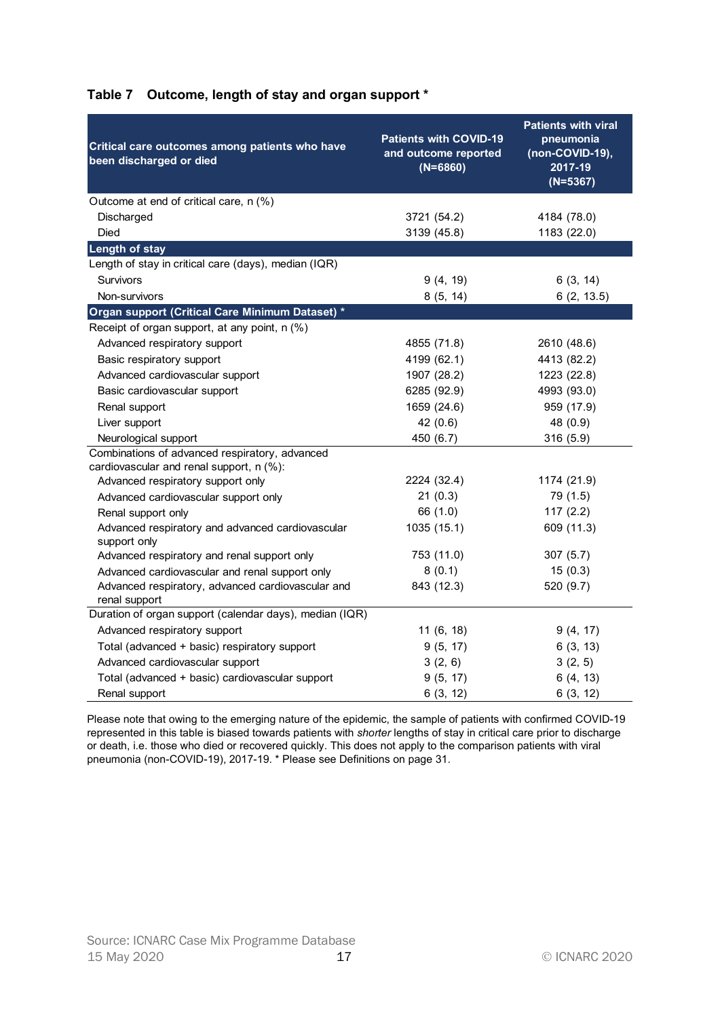| Critical care outcomes among patients who have<br>been discharged or died | <b>Patients with COVID-19</b><br>and outcome reported<br>$(N=6860)$ | <b>Patients with viral</b><br>pneumonia<br>$(non-COVID-19),$<br>2017-19<br>$(N=5367)$ |
|---------------------------------------------------------------------------|---------------------------------------------------------------------|---------------------------------------------------------------------------------------|
| Outcome at end of critical care, n (%)                                    |                                                                     |                                                                                       |
| Discharged                                                                | 3721 (54.2)                                                         | 4184 (78.0)                                                                           |
| Died                                                                      | 3139 (45.8)                                                         | 1183 (22.0)                                                                           |
| <b>Length of stay</b>                                                     |                                                                     |                                                                                       |
| Length of stay in critical care (days), median (IQR)<br>Survivors         |                                                                     |                                                                                       |
| Non-survivors                                                             | 9(4, 19)                                                            | 6(3, 14)                                                                              |
| Organ support (Critical Care Minimum Dataset) *                           | 8(5, 14)                                                            | 6(2, 13.5)                                                                            |
| Receipt of organ support, at any point, n (%)                             |                                                                     |                                                                                       |
| Advanced respiratory support                                              | 4855 (71.8)                                                         | 2610 (48.6)                                                                           |
| Basic respiratory support                                                 | 4199 (62.1)                                                         | 4413 (82.2)                                                                           |
| Advanced cardiovascular support                                           | 1907 (28.2)                                                         | 1223 (22.8)                                                                           |
| Basic cardiovascular support                                              | 6285 (92.9)                                                         | 4993 (93.0)                                                                           |
| Renal support                                                             | 1659 (24.6)                                                         | 959 (17.9)                                                                            |
| Liver support                                                             | 42(0.6)                                                             | 48 (0.9)                                                                              |
| Neurological support                                                      | 450 (6.7)                                                           | 316 (5.9)                                                                             |
| Combinations of advanced respiratory, advanced                            |                                                                     |                                                                                       |
| cardiovascular and renal support, n (%):                                  |                                                                     |                                                                                       |
| Advanced respiratory support only                                         | 2224 (32.4)                                                         | 1174 (21.9)                                                                           |
| Advanced cardiovascular support only                                      | 21(0.3)                                                             | 79 (1.5)                                                                              |
| Renal support only                                                        | 66 (1.0)                                                            | 117(2.2)                                                                              |
| Advanced respiratory and advanced cardiovascular<br>support only          | 1035 (15.1)                                                         | 609 (11.3)                                                                            |
| Advanced respiratory and renal support only                               | 753 (11.0)                                                          | 307(5.7)                                                                              |
| Advanced cardiovascular and renal support only                            | 8(0.1)                                                              | 15(0.3)                                                                               |
| Advanced respiratory, advanced cardiovascular and                         | 843 (12.3)                                                          | 520 (9.7)                                                                             |
| renal support                                                             |                                                                     |                                                                                       |
| Duration of organ support (calendar days), median (IQR)                   |                                                                     |                                                                                       |
| Advanced respiratory support                                              | 11(6, 18)                                                           | 9(4, 17)                                                                              |
| Total (advanced + basic) respiratory support                              | 9(5, 17)                                                            | 6(3, 13)                                                                              |
| Advanced cardiovascular support                                           | 3(2, 6)                                                             | 3(2, 5)                                                                               |
| Total (advanced + basic) cardiovascular support                           | 9(5, 17)                                                            | 6(4, 13)                                                                              |
| Renal support                                                             | 6(3, 12)                                                            | 6(3, 12)                                                                              |

# Table 7 Outcome, length of stay and organ support \*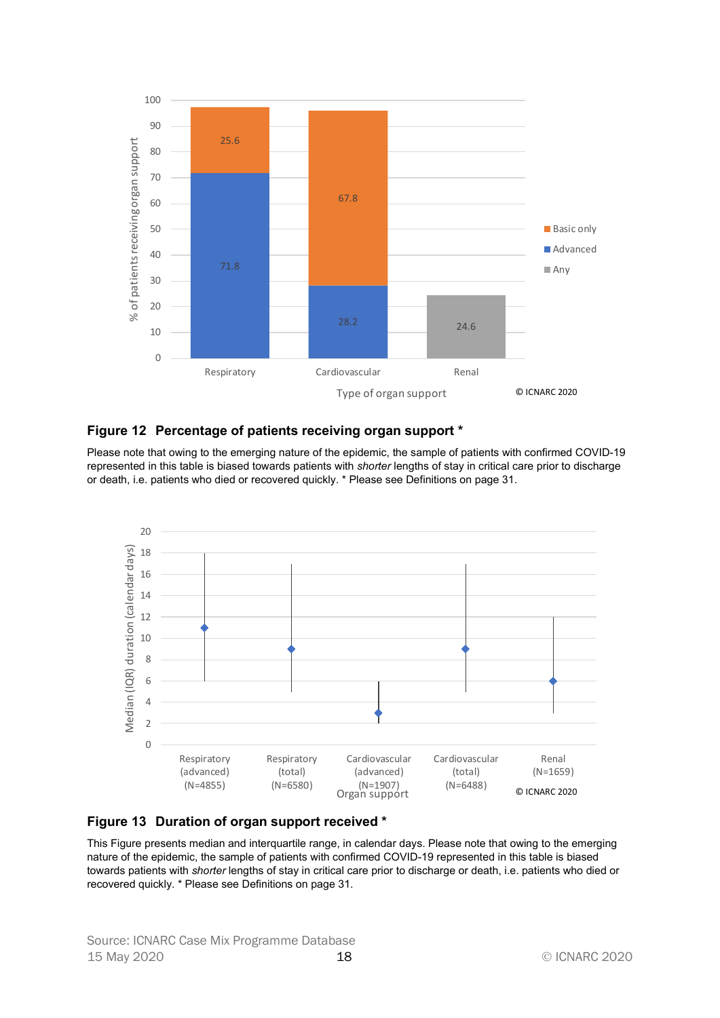

#### Figure 12 Percentage of patients receiving organ support \*

Please note that owing to the emerging nature of the epidemic, the sample of patients with confirmed COVID-19 represented in this table is biased towards patients with shorter lengths of stay in critical care prior to discharge or death, i.e. patients who died or recovered quickly. \* Please see Definitions on page 31.





This Figure presents median and interquartile range, in calendar days. Please note that owing to the emerging nature of the epidemic, the sample of patients with confirmed COVID-19 represented in this table is biased towards patients with shorter lengths of stay in critical care prior to discharge or death, i.e. patients who died or recovered quickly. \* Please see Definitions on page 31.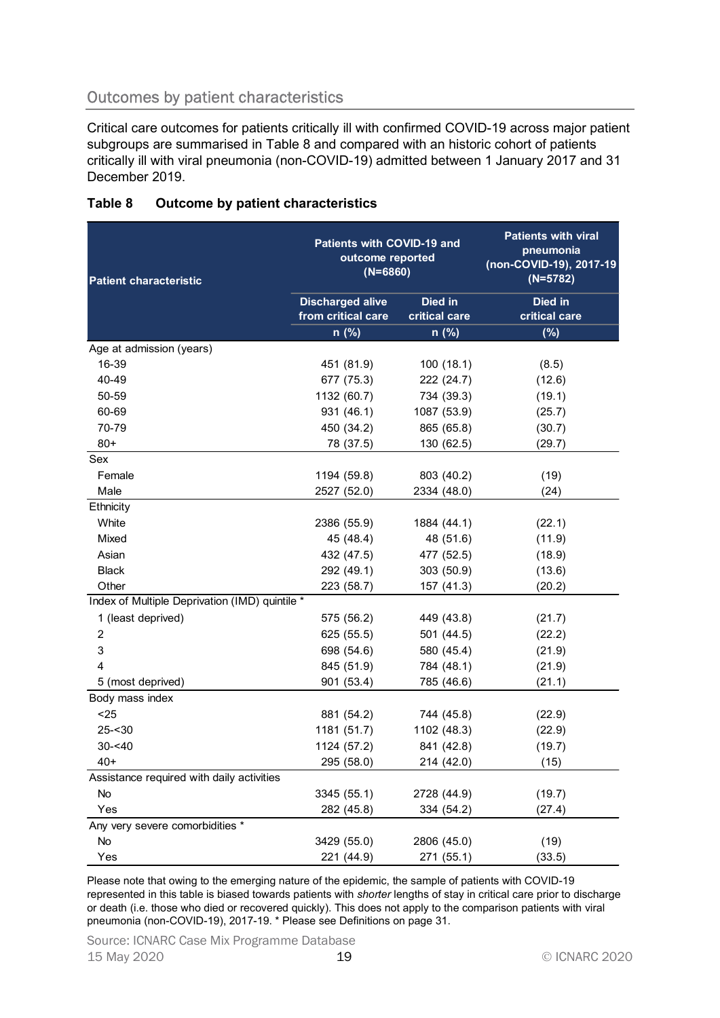# Outcomes by patient characteristics

| Critical care outcomes for patients critically ill with confirmed COVID-19 across major patient<br>subgroups are summarised in Table 8 and compared with an historic cohort of patients<br>critically ill with viral pneumonia (non-COVID-19) admitted between 1 January 2017 and 31 |                                                              |                          |                                                                                  |
|--------------------------------------------------------------------------------------------------------------------------------------------------------------------------------------------------------------------------------------------------------------------------------------|--------------------------------------------------------------|--------------------------|----------------------------------------------------------------------------------|
| December 2019.                                                                                                                                                                                                                                                                       |                                                              |                          |                                                                                  |
| Table 8<br><b>Outcome by patient characteristics</b>                                                                                                                                                                                                                                 |                                                              |                          |                                                                                  |
| <b>Patient characteristic</b>                                                                                                                                                                                                                                                        | Patients with COVID-19 and<br>outcome reported<br>$(N=6860)$ |                          | <b>Patients with viral</b><br>pneumonia<br>(non-COVID-19), 2017-19<br>$(N=5782)$ |
|                                                                                                                                                                                                                                                                                      | <b>Discharged alive</b><br>from critical care                | Died in<br>critical care | Died in<br>critical care                                                         |
|                                                                                                                                                                                                                                                                                      | n (%)                                                        | n (%)                    | (%)                                                                              |
| Age at admission (years)                                                                                                                                                                                                                                                             |                                                              |                          |                                                                                  |
| 16-39                                                                                                                                                                                                                                                                                | 451 (81.9)                                                   | 100(18.1)                | (8.5)                                                                            |
| 40-49                                                                                                                                                                                                                                                                                | 677 (75.3)                                                   | 222 (24.7)               | (12.6)                                                                           |
| 50-59                                                                                                                                                                                                                                                                                | 1132 (60.7)                                                  | 734 (39.3)               | (19.1)                                                                           |
| 60-69                                                                                                                                                                                                                                                                                | 931 (46.1)                                                   | 1087 (53.9)              | (25.7)                                                                           |
| 70-79                                                                                                                                                                                                                                                                                | 450 (34.2)                                                   | 865 (65.8)               | (30.7)                                                                           |
| $80+$                                                                                                                                                                                                                                                                                | 78 (37.5)                                                    | 130 (62.5)               | (29.7)                                                                           |
| Sex                                                                                                                                                                                                                                                                                  |                                                              |                          |                                                                                  |
| Female                                                                                                                                                                                                                                                                               | 1194 (59.8)                                                  | 803 (40.2)               | (19)                                                                             |
| Male                                                                                                                                                                                                                                                                                 | 2527 (52.0)                                                  | 2334 (48.0)              | (24)                                                                             |
| Ethnicity                                                                                                                                                                                                                                                                            |                                                              |                          |                                                                                  |
| White                                                                                                                                                                                                                                                                                | 2386 (55.9)                                                  | 1884 (44.1)              | (22.1)                                                                           |
| Mixed                                                                                                                                                                                                                                                                                | 45 (48.4)                                                    | 48 (51.6)                | (11.9)                                                                           |
| Asian                                                                                                                                                                                                                                                                                | 432 (47.5)                                                   | 477 (52.5)               | (18.9)                                                                           |
| <b>Black</b>                                                                                                                                                                                                                                                                         | 292 (49.1)                                                   | 303 (50.9)               | (13.6)                                                                           |
| Other                                                                                                                                                                                                                                                                                | 223 (58.7)                                                   | 157 (41.3)               | (20.2)                                                                           |
| Index of Multiple Deprivation (IMD) quintile *                                                                                                                                                                                                                                       |                                                              |                          |                                                                                  |
| 1 (least deprived)                                                                                                                                                                                                                                                                   | 575 (56.2)                                                   | 449 (43.8)               | (21.7)                                                                           |
| 2                                                                                                                                                                                                                                                                                    | 625 (55.5)                                                   | 501 (44.5)               | (22.2)                                                                           |
| 3                                                                                                                                                                                                                                                                                    | 698 (54.6)                                                   | 580 (45.4)               | (21.9)                                                                           |
|                                                                                                                                                                                                                                                                                      | 845 (51.9)                                                   | 784 (48.1)               | (21.9)                                                                           |
| 5 (most deprived)                                                                                                                                                                                                                                                                    | 901 (53.4)                                                   | 785 (46.6)               | (21.1)                                                                           |
| Body mass index                                                                                                                                                                                                                                                                      |                                                              |                          |                                                                                  |
| $25$                                                                                                                                                                                                                                                                                 | 881 (54.2)                                                   | 744 (45.8)               | (22.9)                                                                           |
| $25 - 30$                                                                                                                                                                                                                                                                            | 1181 (51.7)                                                  | 1102 (48.3)              | (22.9)                                                                           |
| $30 - 40$                                                                                                                                                                                                                                                                            | 1124 (57.2)                                                  | 841 (42.8)               | (19.7)                                                                           |
| $40+$                                                                                                                                                                                                                                                                                | 295 (58.0)                                                   | 214 (42.0)               | (15)                                                                             |
| Assistance required with daily activities                                                                                                                                                                                                                                            |                                                              |                          |                                                                                  |
| No                                                                                                                                                                                                                                                                                   | 3345 (55.1)                                                  | 2728 (44.9)              | (19.7)                                                                           |
| Yes                                                                                                                                                                                                                                                                                  | 282 (45.8)                                                   | 334 (54.2)               | (27.4)                                                                           |
| Any very severe comorbidities *                                                                                                                                                                                                                                                      |                                                              |                          |                                                                                  |
| No                                                                                                                                                                                                                                                                                   | 3429 (55.0)                                                  | 2806 (45.0)              | (19)                                                                             |
|                                                                                                                                                                                                                                                                                      | 221 (44.9)                                                   | 271 (55.1)               | (33.5)                                                                           |

## Table 8 Outcome by patient characteristics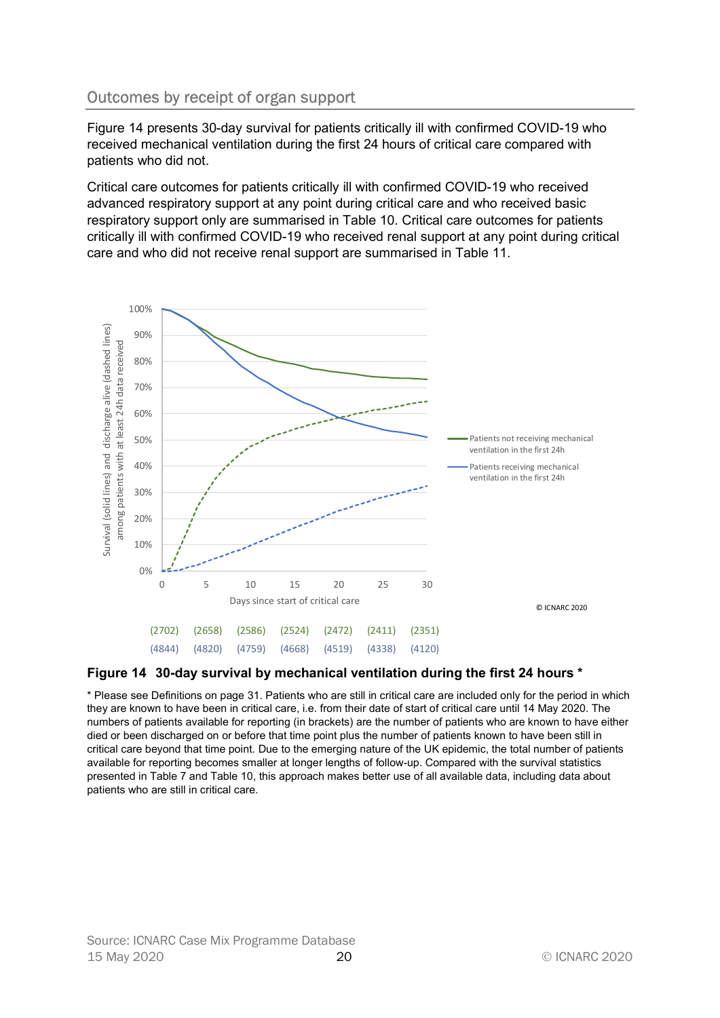# Outcomes by receipt of organ support

Figure 14 presents 30-day survival for patients critically ill with confirmed COVID-19 who received mechanical ventilation during the first 24 hours of critical care compared with patients who did not.

Critical care outcomes for patients critically ill with confirmed COVID-19 who received advanced respiratory support at any point during critical care and who received basic respiratory support only are summarised in Table 10. Critical care outcomes for patients critically ill with confirmed COVID-19 who received renal support at any point during critical care and who did not receive renal support are summarised in Table 11.



#### Figure 14 30-day survival by mechanical ventilation during the first 24 hours \*

\* Please see Definitions on page 31. Patients who are still in critical care are included only for the period in which they are known to have been in critical care, i.e. from their date of start of critical care until 14 May 2020. The numbers of patients available for reporting (in brackets) are the number of patients who are known to have either died or been discharged on or before that time point plus the number of patients known to have been still in critical care beyond that time point. Due to the emerging nature of the UK epidemic, the total number of patients available for reporting becomes smaller at longer lengths of follow-up. Compared with the survival statistics presented in Table 7 and Table 10, this approach makes better use of all available data, including data about patients who are still in critical care.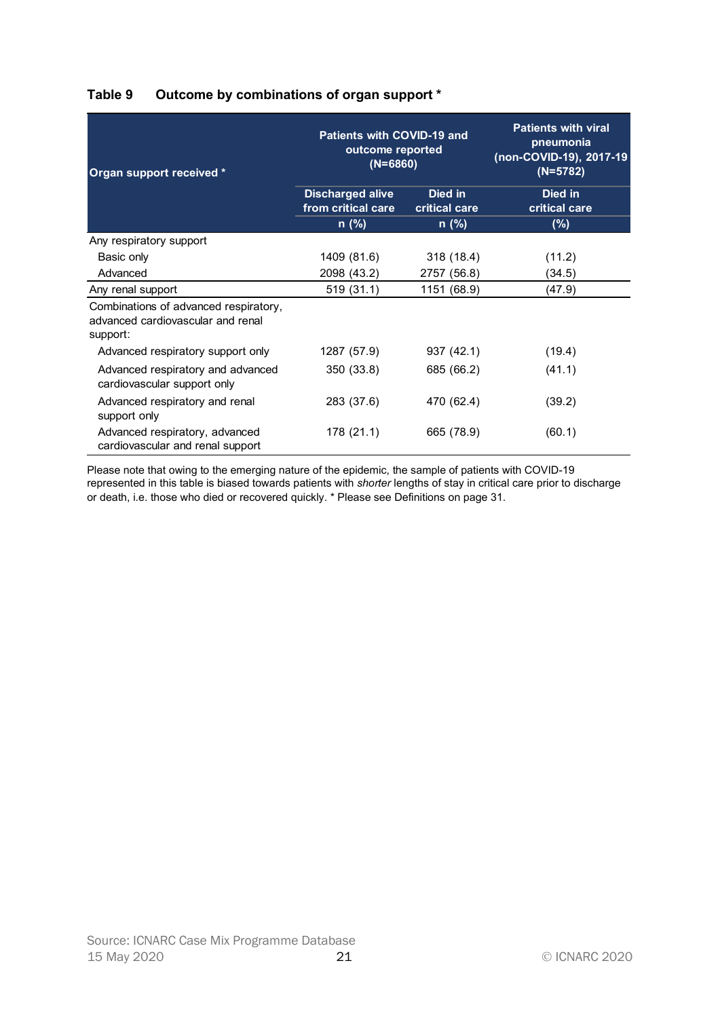| Organ support received *                                                               | Patients with COVID-19 and<br>outcome reported<br>$(N=6860)$ |                                 | <b>Patients with viral</b><br>pneumonia<br>(non-COVID-19), 2017-19<br>$(N=5782)$ |
|----------------------------------------------------------------------------------------|--------------------------------------------------------------|---------------------------------|----------------------------------------------------------------------------------|
|                                                                                        | <b>Discharged alive</b><br>from critical care                | <b>Died in</b><br>critical care | <b>Died in</b><br>critical care                                                  |
|                                                                                        | n (%)                                                        | n (%)                           | (%)                                                                              |
| Any respiratory support                                                                |                                                              |                                 |                                                                                  |
| Basic only                                                                             | 1409 (81.6)                                                  | 318 (18.4)                      | (11.2)                                                                           |
| Advanced                                                                               | 2098 (43.2)                                                  | 2757 (56.8)                     | (34.5)                                                                           |
| Any renal support                                                                      | 519(31.1)                                                    | 1151 (68.9)                     | (47.9)                                                                           |
| Combinations of advanced respiratory,<br>advanced cardiovascular and renal<br>support: |                                                              |                                 |                                                                                  |
| Advanced respiratory support only                                                      | 1287 (57.9)                                                  | 937 (42.1)                      | (19.4)                                                                           |
| Advanced respiratory and advanced<br>cardiovascular support only                       | 350 (33.8)                                                   | 685 (66.2)                      | (41.1)                                                                           |
| Advanced respiratory and renal<br>support only                                         | 283 (37.6)                                                   | 470 (62.4)                      | (39.2)                                                                           |
| Advanced respiratory, advanced<br>cardiovascular and renal support                     | 178 (21.1)                                                   | 665 (78.9)                      | (60.1)                                                                           |

# Table 9 Outcome by combinations of organ support \*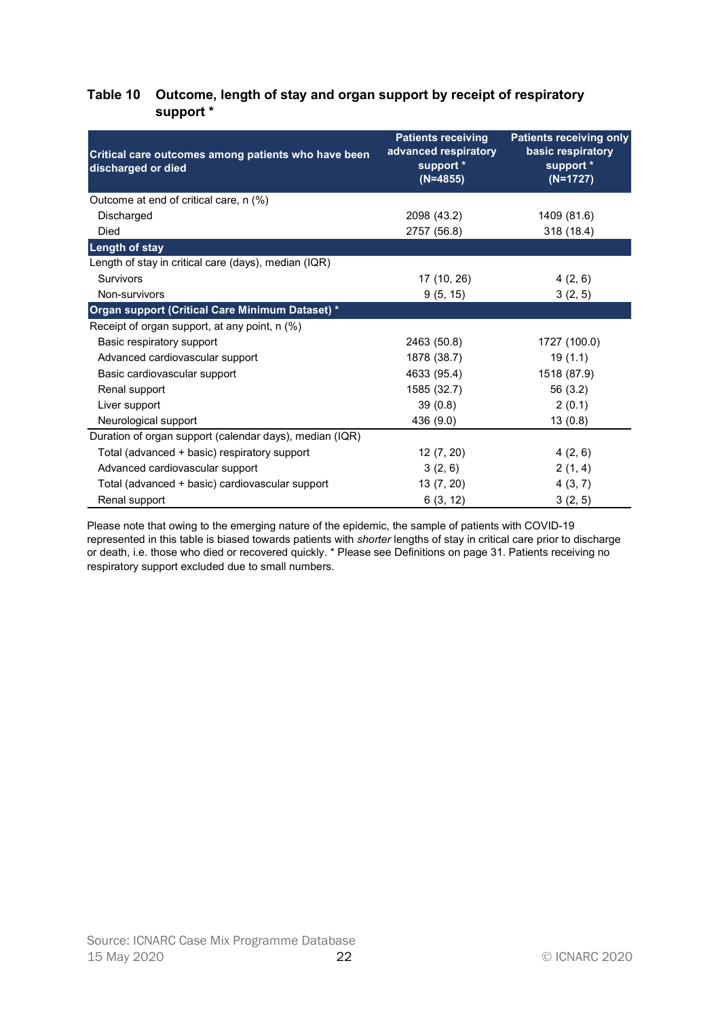|                                                                           |                                                                              | Outcome, length of stay and organ support by receipt of respiratory     |
|---------------------------------------------------------------------------|------------------------------------------------------------------------------|-------------------------------------------------------------------------|
| Critical care outcomes among patients who have been<br>discharged or died | <b>Patients receiving</b><br>advanced respiratory<br>support *<br>$(N=4855)$ | Patients receiving only<br>basic respiratory<br>support *<br>$(N=1727)$ |
| Outcome at end of critical care, n (%)                                    |                                                                              |                                                                         |
| Discharged                                                                | 2098 (43.2)                                                                  | 1409 (81.6)                                                             |
| Died                                                                      | 2757 (56.8)                                                                  | 318 (18.4)                                                              |
| <b>Length of stay</b>                                                     |                                                                              |                                                                         |
| Length of stay in critical care (days), median (IQR)                      |                                                                              |                                                                         |
| Survivors                                                                 | 17 (10, 26)                                                                  | 4(2, 6)                                                                 |
| Non-survivors                                                             | 9(5, 15)                                                                     | 3(2, 5)                                                                 |
| Organ support (Critical Care Minimum Dataset) *                           |                                                                              |                                                                         |
| Receipt of organ support, at any point, n (%)                             |                                                                              |                                                                         |
| Basic respiratory support                                                 | 2463 (50.8)                                                                  | 1727 (100.0)                                                            |
| Advanced cardiovascular support                                           | 1878 (38.7)                                                                  | 19(1.1)                                                                 |
| Basic cardiovascular support                                              | 4633 (95.4)                                                                  | 1518 (87.9)                                                             |
| Renal support                                                             | 1585 (32.7)                                                                  | 56(3.2)                                                                 |
| Liver support                                                             | 39(0.8)                                                                      | 2(0.1)                                                                  |
| Neurological support                                                      | 436 (9.0)                                                                    | 13(0.8)                                                                 |
| Duration of organ support (calendar days), median (IQR)                   |                                                                              |                                                                         |
| Total (advanced + basic) respiratory support                              | 12(7, 20)                                                                    | 4(2, 6)                                                                 |
| Advanced cardiovascular support                                           | 3(2, 6)                                                                      | 2(1, 4)                                                                 |
| Total (advanced + basic) cardiovascular support                           | 13(7, 20)                                                                    | 4(3, 7)                                                                 |
| Renal support                                                             | 6(3, 12)                                                                     | 3(2, 5)                                                                 |

### Table 10 Outcome, length of stay and organ support by receipt of respiratory support \*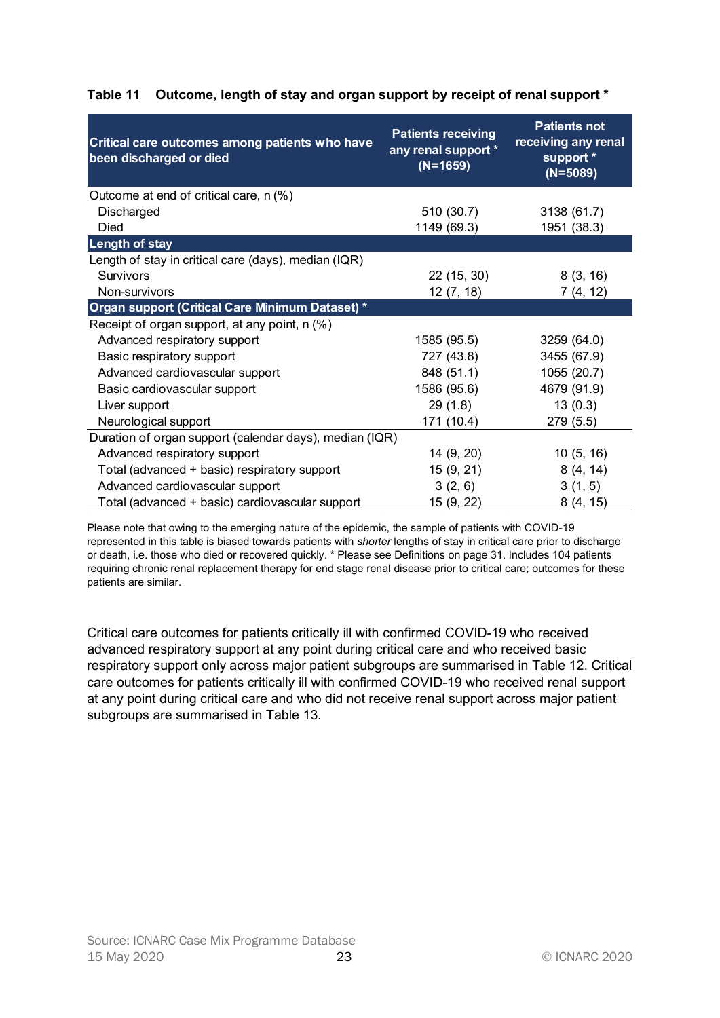| Critical care outcomes among patients who have<br>been discharged or died | <b>Patients receiving</b><br>any renal support *<br>$(N=1659)$ | Outcome, length of stay and organ support by receipt of renal support *<br><b>Patients not</b><br>receiving any renal<br>support *<br>$(N=5089)$ |
|---------------------------------------------------------------------------|----------------------------------------------------------------|--------------------------------------------------------------------------------------------------------------------------------------------------|
| Outcome at end of critical care, n (%)                                    |                                                                |                                                                                                                                                  |
| Discharged                                                                | 510 (30.7)                                                     | 3138 (61.7)                                                                                                                                      |
| <b>Died</b>                                                               | 1149 (69.3)                                                    | 1951 (38.3)                                                                                                                                      |
| <b>Length of stay</b>                                                     |                                                                |                                                                                                                                                  |
| Length of stay in critical care (days), median (IQR)                      |                                                                |                                                                                                                                                  |
| Survivors                                                                 | 22 (15, 30)                                                    | 8(3, 16)                                                                                                                                         |
| Non-survivors                                                             | 12(7, 18)                                                      | 7(4, 12)                                                                                                                                         |
| Organ support (Critical Care Minimum Dataset) *                           |                                                                |                                                                                                                                                  |
| Receipt of organ support, at any point, n (%)                             |                                                                |                                                                                                                                                  |
| Advanced respiratory support                                              | 1585 (95.5)                                                    | 3259 (64.0)                                                                                                                                      |
| Basic respiratory support                                                 | 727 (43.8)                                                     | 3455 (67.9)                                                                                                                                      |
| Advanced cardiovascular support                                           | 848 (51.1)                                                     | 1055 (20.7)                                                                                                                                      |
| Basic cardiovascular support                                              | 1586 (95.6)                                                    | 4679 (91.9)                                                                                                                                      |
| Liver support                                                             | 29(1.8)                                                        | 13(0.3)                                                                                                                                          |
| Neurological support                                                      | 171 (10.4)                                                     | 279 (5.5)                                                                                                                                        |
| Duration of organ support (calendar days), median (IQR)                   |                                                                |                                                                                                                                                  |
| Advanced respiratory support                                              | 14 (9, 20)                                                     | 10(5, 16)                                                                                                                                        |
| Total (advanced + basic) respiratory support                              | 15(9, 21)                                                      | 8(4, 14)                                                                                                                                         |
| Advanced cardiovascular support                                           | 3(2, 6)                                                        | 3(1, 5)                                                                                                                                          |
|                                                                           | 15 (9, 22)                                                     | 8(4, 15)                                                                                                                                         |

# Table 11 Outcome, length of stay and organ support by receipt of renal support \*

Please note that owing to the emerging nature of the epidemic, the sample of patients with COVID-19 represented in this table is biased towards patients with shorter lengths of stay in critical care prior to discharge or death, i.e. those who died or recovered quickly. \* Please see Definitions on page 31. Includes 104 patients requiring chronic renal replacement therapy for end stage renal disease prior to critical care; outcomes for these patients are similar.

Critical care outcomes for patients critically ill with confirmed COVID-19 who received advanced respiratory support at any point during critical care and who received basic respiratory support only across major patient subgroups are summarised in Table 12. Critical care outcomes for patients critically ill with confirmed COVID-19 who received renal support at any point during critical care and who did not receive renal support across major patient subgroups are summarised in Table 13.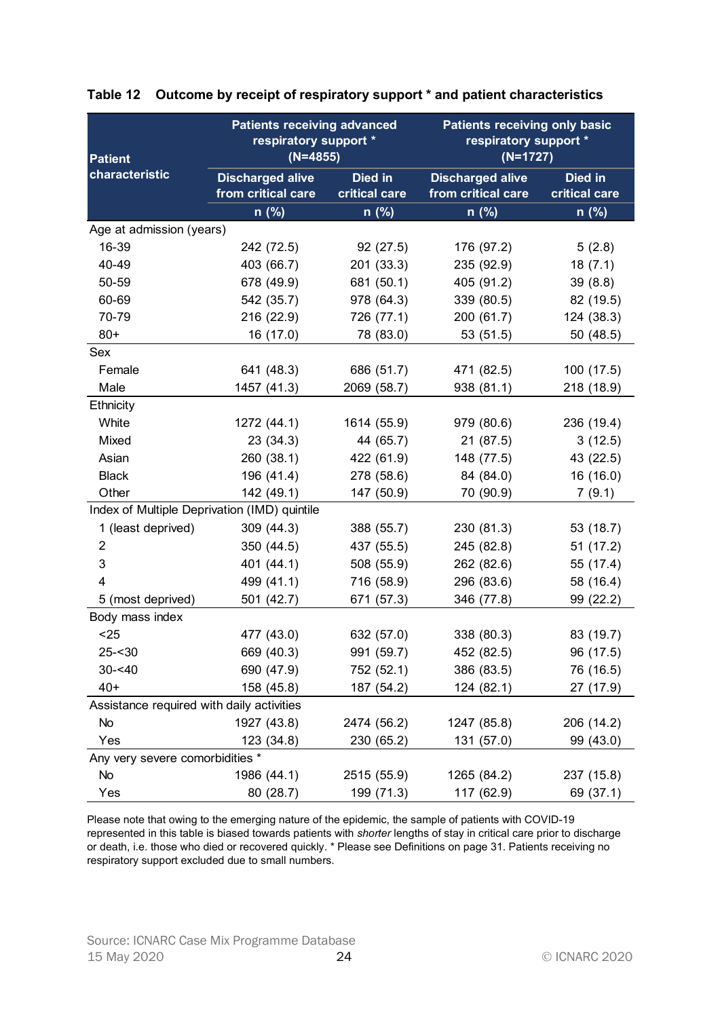| Patient                                   | <b>Patients receiving advanced</b><br>respiratory support *<br>$(N=4855)$ |                          | <b>Patients receiving only basic</b><br>respiratory support *<br>$(N=1727)$ |                          |
|-------------------------------------------|---------------------------------------------------------------------------|--------------------------|-----------------------------------------------------------------------------|--------------------------|
| characteristic                            | <b>Discharged alive</b><br>from critical care                             | Died in<br>critical care | <b>Discharged alive</b><br>from critical care                               | Died in<br>critical care |
|                                           | n (%)                                                                     | n (%)                    | $n$ (%)                                                                     | n (%)                    |
| Age at admission (years)                  |                                                                           |                          |                                                                             |                          |
| 16-39                                     | 242 (72.5)                                                                | 92(27.5)                 | 176 (97.2)                                                                  | 5(2.8)                   |
| 40-49                                     | 403 (66.7)                                                                | 201 (33.3)               | 235 (92.9)                                                                  | 18(7.1)                  |
| 50-59                                     | 678 (49.9)                                                                | 681 (50.1)               | 405 (91.2)                                                                  | 39(8.8)                  |
| 60-69                                     | 542 (35.7)                                                                | 978 (64.3)               | 339 (80.5)                                                                  | 82 (19.5)                |
| 70-79                                     | 216 (22.9)                                                                | 726 (77.1)               | 200(61.7)                                                                   | 124 (38.3)               |
| $80+$                                     | 16 (17.0)                                                                 | 78 (83.0)                | 53 (51.5)                                                                   | 50(48.5)                 |
| Sex                                       |                                                                           |                          |                                                                             |                          |
| Female                                    | 641 (48.3)                                                                | 686 (51.7)               | 471 (82.5)                                                                  | 100 (17.5)               |
| Male                                      | 1457 (41.3)                                                               | 2069 (58.7)              | 938 (81.1)                                                                  | 218 (18.9)               |
| <b>Ethnicity</b>                          |                                                                           |                          |                                                                             |                          |
| White                                     | 1272 (44.1)                                                               | 1614 (55.9)              | 979 (80.6)                                                                  | 236 (19.4)               |
| Mixed                                     | 23(34.3)                                                                  | 44 (65.7)                | 21 (87.5)                                                                   | 3(12.5)                  |
| Asian                                     | 260 (38.1)                                                                | 422 (61.9)               | 148 (77.5)                                                                  | 43 (22.5)                |
| <b>Black</b>                              | 196 (41.4)                                                                | 278 (58.6)               | 84 (84.0)                                                                   | 16(16.0)                 |
| Other                                     | 142 (49.1)                                                                | 147 (50.9)               | 70 (90.9)                                                                   | 7(9.1)                   |
|                                           | Index of Multiple Deprivation (IMD) quintile                              |                          |                                                                             |                          |
| 1 (least deprived)                        | 309(44.3)                                                                 | 388 (55.7)               | 230 (81.3)                                                                  | 53 (18.7)                |
| 2                                         | 350 (44.5)                                                                | 437 (55.5)               | 245 (82.8)                                                                  | 51(17.2)                 |
| 3                                         | 401 (44.1)                                                                | 508 (55.9)               | 262 (82.6)                                                                  | 55 (17.4)                |
|                                           | 499 (41.1)                                                                | 716 (58.9)               | 296 (83.6)                                                                  | 58 (16.4)                |
| 5 (most deprived)                         | 501 (42.7)                                                                | 671 (57.3)               | 346 (77.8)                                                                  | 99 (22.2)                |
| Body mass index                           |                                                                           |                          |                                                                             |                          |
| $25$                                      |                                                                           |                          |                                                                             |                          |
|                                           | 477 (43.0)                                                                | 632 (57.0)               | 338 (80.3)                                                                  | 83 (19.7)                |
| $25 - 30$                                 | 669 (40.3)                                                                | 991 (59.7)               | 452 (82.5)                                                                  | 96 (17.5)                |
| $30 - 40$                                 | 690 (47.9)                                                                | 752 (52.1)               | 386 (83.5)                                                                  | 76 (16.5)                |
| $40+$                                     | 158 (45.8)                                                                | 187 (54.2)               | 124(82.1)                                                                   | 27 (17.9)                |
| Assistance required with daily activities |                                                                           |                          |                                                                             |                          |
| No                                        | 1927 (43.8)                                                               | 2474 (56.2)              | 1247 (85.8)                                                                 | 206 (14.2)               |
| Yes                                       | 123 (34.8)                                                                | 230 (65.2)               | 131 (57.0)                                                                  | 99 (43.0)                |
| Any very severe comorbidities *           |                                                                           |                          |                                                                             |                          |
| No                                        | 1986 (44.1)                                                               | 2515 (55.9)              | 1265 (84.2)                                                                 | 237 (15.8)               |
| Yes                                       | 80 (28.7)                                                                 | 199 (71.3)               | 117 (62.9)                                                                  | 69 (37.1)                |

#### Table 12 Outcome by receipt of respiratory support \* and patient characteristics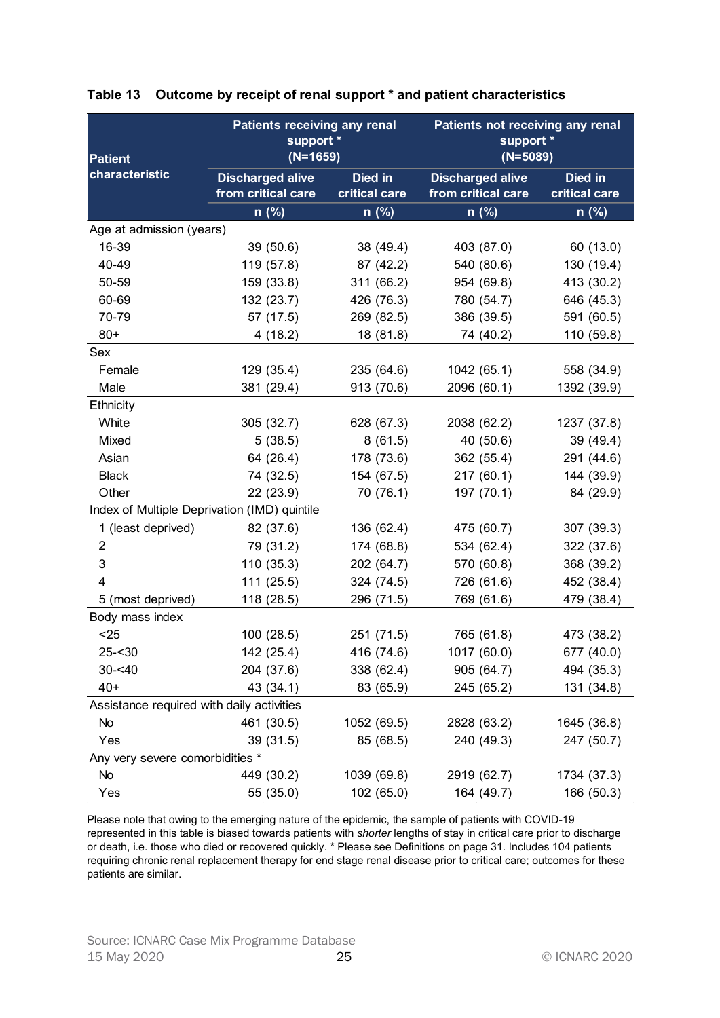| <b>Patient</b>                            | Patients receiving any renal<br>support *<br>$(N=1659)$ |                          | Patients not receiving any renal<br>support *<br>$(N=5089)$ |                          |
|-------------------------------------------|---------------------------------------------------------|--------------------------|-------------------------------------------------------------|--------------------------|
| characteristic                            | <b>Discharged alive</b><br>from critical care           | Died in<br>critical care | <b>Discharged alive</b><br>from critical care               | Died in<br>critical care |
|                                           | n (%)                                                   | n (%)                    | $n$ (%)                                                     | n (%)                    |
| Age at admission (years)                  |                                                         |                          |                                                             |                          |
| 16-39                                     | 39(50.6)                                                | 38 (49.4)                | 403 (87.0)                                                  | 60 (13.0)                |
| 40-49                                     | 119 (57.8)                                              | 87 (42.2)                | 540 (80.6)                                                  | 130 (19.4)               |
| 50-59                                     | 159 (33.8)                                              | 311 (66.2)               | 954 (69.8)                                                  | 413 (30.2)               |
| 60-69                                     | 132 (23.7)                                              | 426 (76.3)               | 780 (54.7)                                                  | 646 (45.3)               |
| 70-79                                     | 57 (17.5)                                               | 269 (82.5)               | 386 (39.5)                                                  | 591 (60.5)               |
| $80+$                                     | 4(18.2)                                                 | 18 (81.8)                | 74 (40.2)                                                   | 110 (59.8)               |
| Sex                                       |                                                         |                          |                                                             |                          |
| Female                                    | 129 (35.4)                                              | 235 (64.6)               | 1042 (65.1)                                                 | 558 (34.9)               |
| Male                                      | 381 (29.4)                                              | 913 (70.6)               | 2096 (60.1)                                                 | 1392 (39.9)              |
| <b>Ethnicity</b>                          |                                                         |                          |                                                             |                          |
| White                                     | 305 (32.7)                                              | 628 (67.3)               | 2038 (62.2)                                                 | 1237 (37.8)              |
| Mixed                                     | 5(38.5)                                                 | 8(61.5)                  | 40 (50.6)                                                   | 39 (49.4)                |
| Asian                                     | 64 (26.4)                                               | 178 (73.6)               | 362 (55.4)                                                  | 291 (44.6)               |
| <b>Black</b>                              | 74 (32.5)                                               | 154 (67.5)               | 217(60.1)                                                   | 144 (39.9)               |
| Other                                     | 22 (23.9)                                               | 70 (76.1)                | 197 (70.1)                                                  | 84 (29.9)                |
|                                           | Index of Multiple Deprivation (IMD) quintile            |                          |                                                             |                          |
|                                           | 82 (37.6)                                               | 136 (62.4)               | 475 (60.7)                                                  | 307 (39.3)               |
| 1 (least deprived)                        |                                                         |                          |                                                             |                          |
| 2                                         | 79 (31.2)                                               | 174 (68.8)               | 534 (62.4)                                                  | 322 (37.6)               |
| 3                                         | 110 (35.3)                                              | 202 (64.7)               | 570 (60.8)                                                  | 368 (39.2)               |
|                                           | 111(25.5)                                               | 324 (74.5)               | 726 (61.6)                                                  | 452 (38.4)               |
| 5 (most deprived)                         | 118 (28.5)                                              | 296 (71.5)               | 769 (61.6)                                                  | 479 (38.4)               |
| Body mass index                           |                                                         |                          |                                                             |                          |
| $25$                                      | 100(28.5)                                               | 251 (71.5)               | 765 (61.8)                                                  | 473 (38.2)               |
| $25 - 30$                                 | 142 (25.4)                                              | 416 (74.6)               | 1017 (60.0)                                                 | 677 (40.0)               |
| $30 - 40$                                 | 204 (37.6)                                              | 338 (62.4)               | 905 (64.7)                                                  | 494 (35.3)               |
| $40+$                                     | 43 (34.1)                                               | 83 (65.9)                | 245 (65.2)                                                  | 131 (34.8)               |
| Assistance required with daily activities |                                                         |                          |                                                             |                          |
| No                                        | 461 (30.5)                                              | 1052 (69.5)              | 2828 (63.2)                                                 | 1645 (36.8)              |
| Yes                                       | 39 (31.5)                                               | 85 (68.5)                | 240 (49.3)                                                  | 247 (50.7)               |
| Any very severe comorbidities *           |                                                         |                          |                                                             |                          |
| No                                        | 449 (30.2)                                              | 1039 (69.8)              | 2919 (62.7)                                                 | 1734 (37.3)              |
| Yes                                       | 55 (35.0)                                               | 102 (65.0)               | 164 (49.7)                                                  | 166 (50.3)               |

#### Table 13 Outcome by receipt of renal support \* and patient characteristics

Please note that owing to the emerging nature of the epidemic, the sample of patients with COVID-19 represented in this table is biased towards patients with shorter lengths of stay in critical care prior to discharge or death, i.e. those who died or recovered quickly. \* Please see Definitions on page 31. Includes 104 patients requiring chronic renal replacement therapy for end stage renal disease prior to critical care; outcomes for these patients are similar.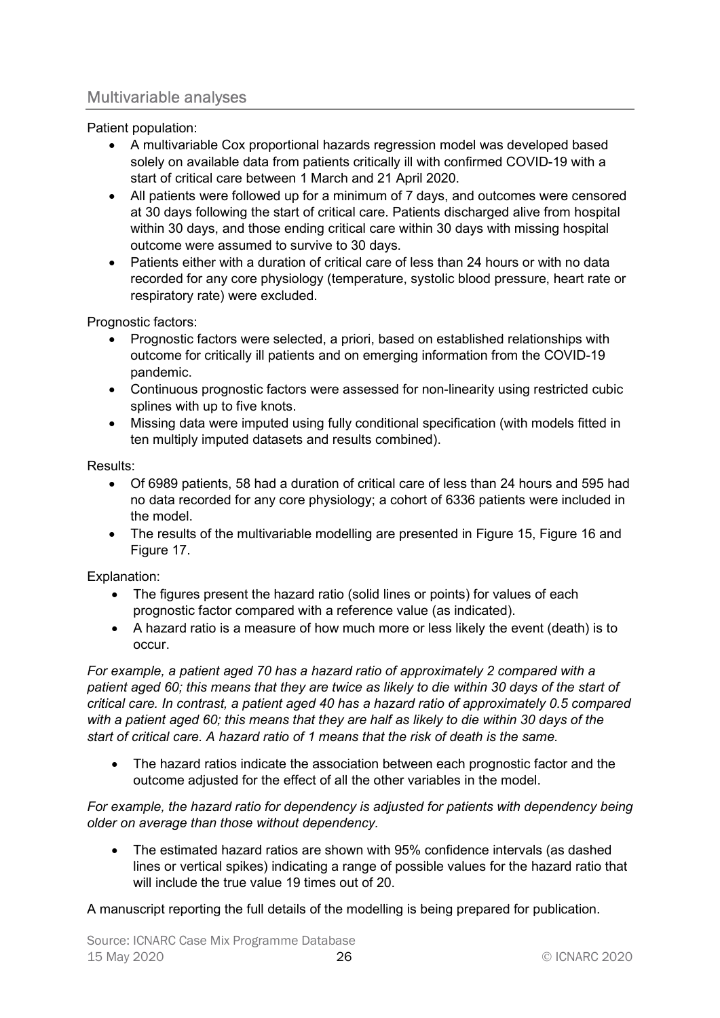# Multivariable analyses

Patient population:

- A multivariable Cox proportional hazards regression model was developed based solely on available data from patients critically ill with confirmed COVID-19 with a start of critical care between 1 March and 21 April 2020.
- All patients were followed up for a minimum of 7 days, and outcomes were censored at 30 days following the start of critical care. Patients discharged alive from hospital within 30 days, and those ending critical care within 30 days with missing hospital outcome were assumed to survive to 30 days.
- Patients either with a duration of critical care of less than 24 hours or with no data recorded for any core physiology (temperature, systolic blood pressure, heart rate or respiratory rate) were excluded.

Prognostic factors:

- Prognostic factors were selected, a priori, based on established relationships with outcome for critically ill patients and on emerging information from the COVID-19 pandemic.
- Continuous prognostic factors were assessed for non-linearity using restricted cubic splines with up to five knots.
- Missing data were imputed using fully conditional specification (with models fitted in ten multiply imputed datasets and results combined).

#### Results:

- Of 6989 patients, 58 had a duration of critical care of less than 24 hours and 595 had no data recorded for any core physiology; a cohort of 6336 patients were included in the model.
- The results of the multivariable modelling are presented in Figure 15, Figure 16 and Figure 17.

Explanation:

- The figures present the hazard ratio (solid lines or points) for values of each prognostic factor compared with a reference value (as indicated).
- A hazard ratio is a measure of how much more or less likely the event (death) is to occur.

For example, a patient aged 70 has a hazard ratio of approximately 2 compared with a patient aged 60; this means that they are twice as likely to die within 30 days of the start of critical care. In contrast, a patient aged 40 has a hazard ratio of approximately 0.5 compared with a patient aged 60; this means that they are half as likely to die within 30 days of the start of critical care. A hazard ratio of 1 means that the risk of death is the same.

 The hazard ratios indicate the association between each prognostic factor and the outcome adjusted for the effect of all the other variables in the model.

For example, the hazard ratio for dependency is adjusted for patients with dependency being older on average than those without dependency.

 The estimated hazard ratios are shown with 95% confidence intervals (as dashed lines or vertical spikes) indicating a range of possible values for the hazard ratio that will include the true value 19 times out of 20.

A manuscript reporting the full details of the modelling is being prepared for publication.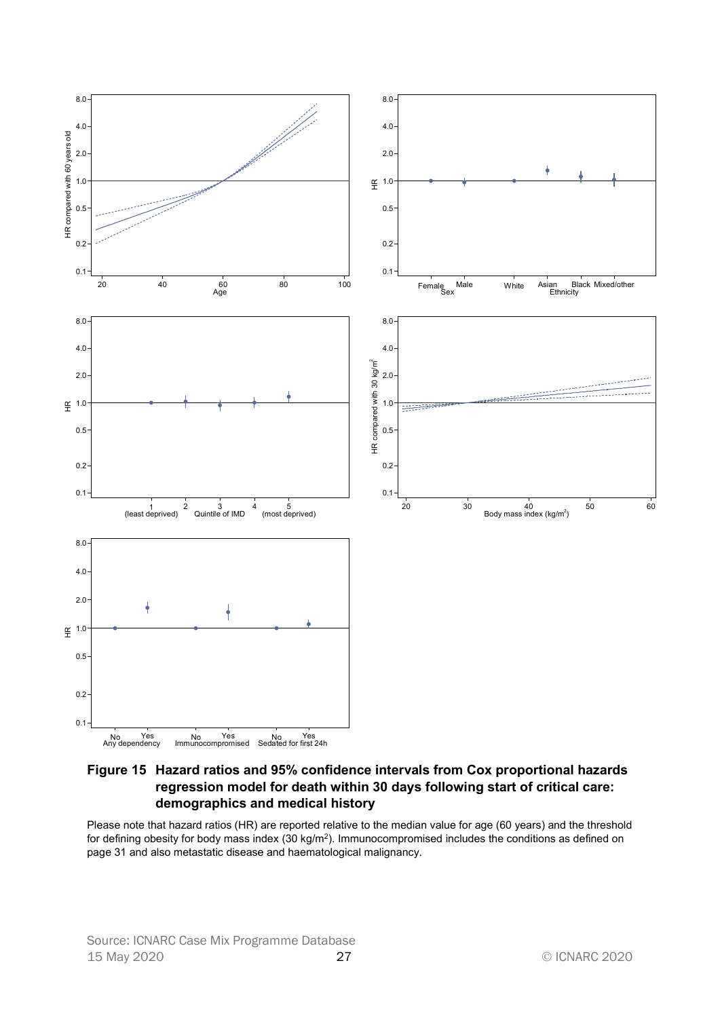

Figure 15 Hazard ratios and 95% confidence intervals from Cox proportional hazards regression model for death within 30 days following start of critical care: demographics and medical history

Please note that hazard ratios (HR) are reported relative to the median value for age (60 years) and the threshold for defining obesity for body mass index (30 kg/m<sup>2</sup>). Immunocompromised includes the conditions as defined on page 31 and also metastatic disease and haematological malignancy.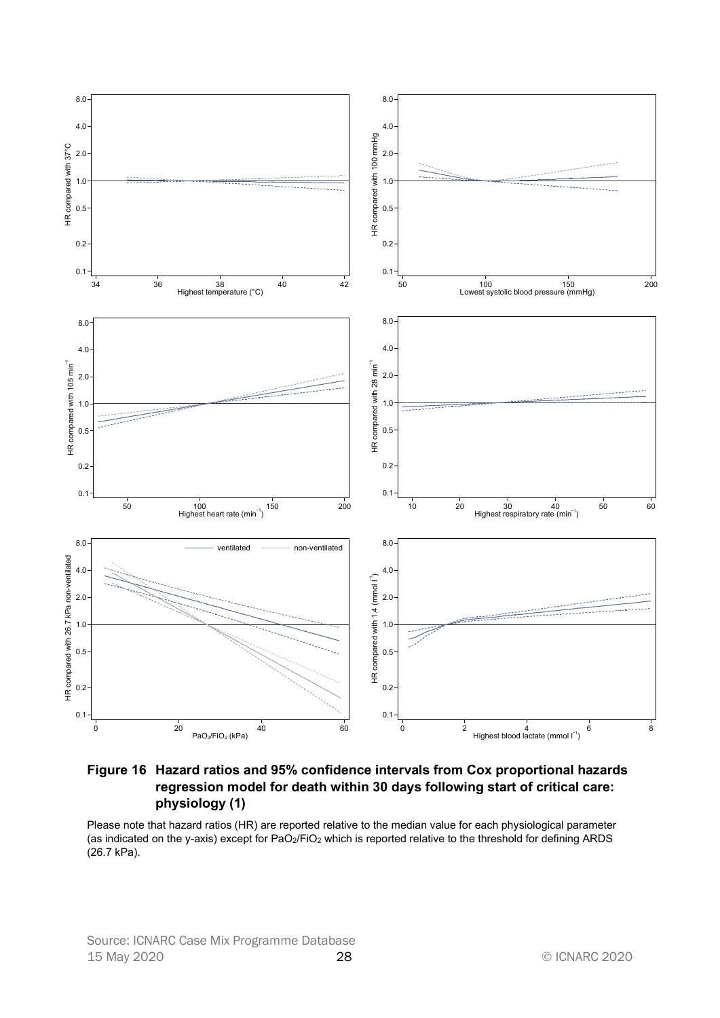

Figure 16 Hazard ratios and 95% confidence intervals from Cox proportional hazards regression model for death within 30 days following start of critical care: physiology (1)

Please note that hazard ratios (HR) are reported relative to the median value for each physiological parameter (as indicated on the y-axis) except for PaO2/FiO2 which is reported relative to the threshold for defining ARDS (26.7 kPa).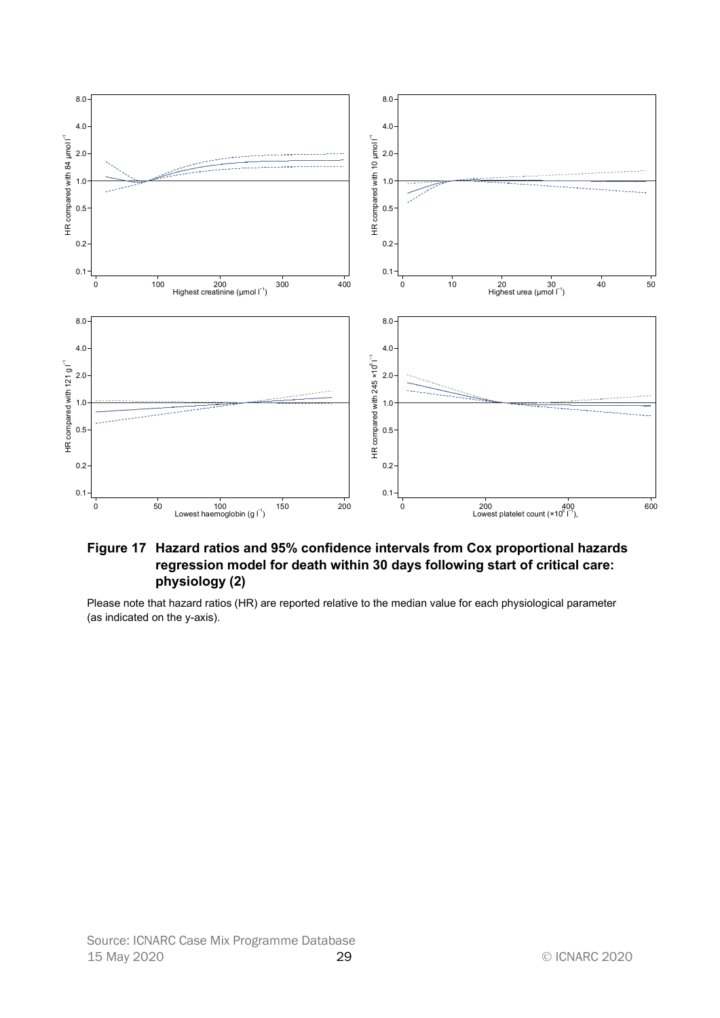

#### Figure 17 Hazard ratios and 95% confidence intervals from Cox proportional hazards regression model for death within 30 days following start of critical care: physiology (2)

Please note that hazard ratios (HR) are reported relative to the median value for each physiological parameter (as indicated on the y-axis).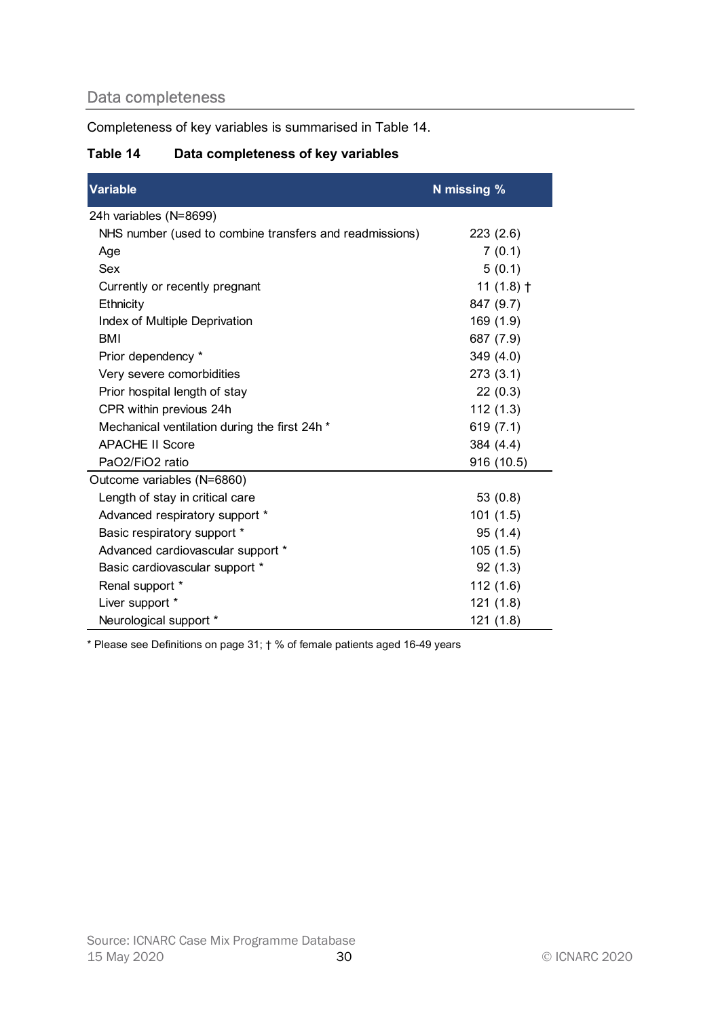# Data completeness

# Table 14 Data completeness of key variables

| Completeness of key variables is summarised in Table 14. |              |
|----------------------------------------------------------|--------------|
| Table 14<br>Data completeness of key variables           |              |
| <b>Variable</b>                                          | N missing %  |
| 24h variables (N=8699)                                   |              |
| NHS number (used to combine transfers and readmissions)  | 223(2.6)     |
| Age                                                      | 7(0.1)       |
| Sex                                                      | 5(0.1)       |
| Currently or recently pregnant                           | 11 $(1.8)$ † |
| Ethnicity                                                | 847 (9.7)    |
| Index of Multiple Deprivation                            | 169(1.9)     |
| <b>BMI</b>                                               | 687 (7.9)    |
| Prior dependency *                                       | 349(4.0)     |
| Very severe comorbidities                                | 273(3.1)     |
| Prior hospital length of stay                            | 22(0.3)      |
| CPR within previous 24h                                  | 112(1.3)     |
| Mechanical ventilation during the first 24h *            | 619(7.1)     |
| <b>APACHE II Score</b>                                   | 384 (4.4)    |
| PaO2/FiO2 ratio                                          | 916 (10.5)   |
| Outcome variables (N=6860)                               |              |
| Length of stay in critical care                          | 53(0.8)      |
| Advanced respiratory support *                           | 101(1.5)     |
| Basic respiratory support *                              | 95(1.4)      |
| Advanced cardiovascular support *                        | 105(1.5)     |
| Basic cardiovascular support *                           | 92(1.3)      |
| Renal support *                                          | 112(1.6)     |
| Liver support *                                          | 121(1.8)     |
| Neurological support *                                   | 121(1.8)     |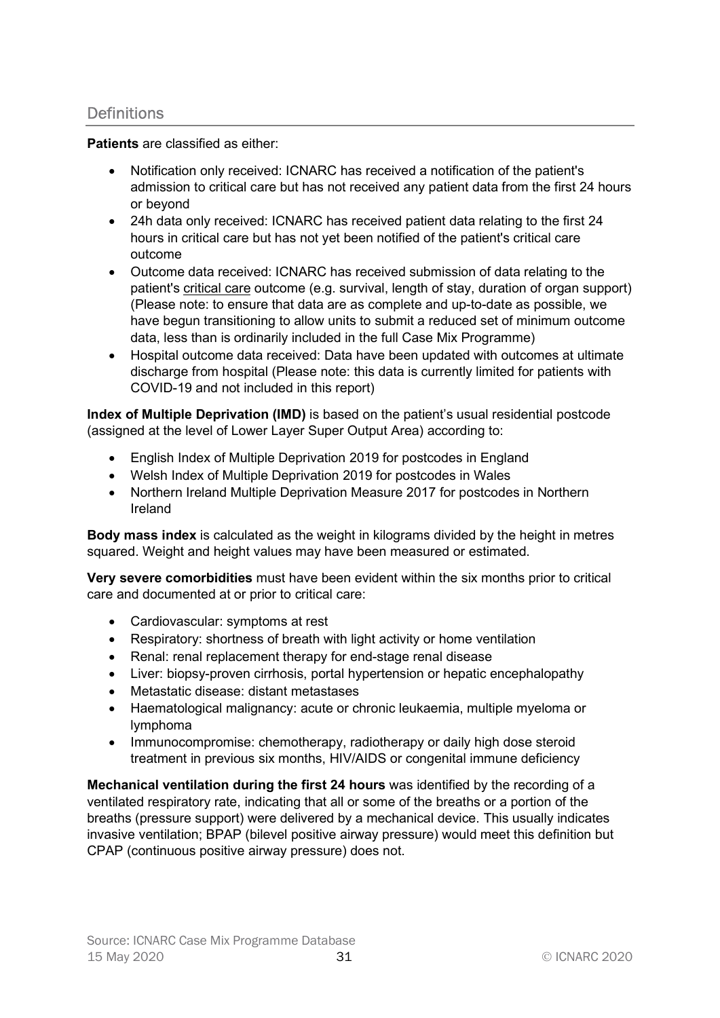# **Definitions**

Patients are classified as either:

- Notification only received: ICNARC has received a notification of the patient's admission to critical care but has not received any patient data from the first 24 hours or beyond
- 24h data only received: ICNARC has received patient data relating to the first 24 hours in critical care but has not yet been notified of the patient's critical care outcome
- Outcome data received: ICNARC has received submission of data relating to the patient's critical care outcome (e.g. survival, length of stay, duration of organ support) (Please note: to ensure that data are as complete and up-to-date as possible, we have begun transitioning to allow units to submit a reduced set of minimum outcome data, less than is ordinarily included in the full Case Mix Programme)
- Hospital outcome data received: Data have been updated with outcomes at ultimate discharge from hospital (Please note: this data is currently limited for patients with COVID-19 and not included in this report)

Index of Multiple Deprivation (IMD) is based on the patient's usual residential postcode (assigned at the level of Lower Layer Super Output Area) according to:

- English Index of Multiple Deprivation 2019 for postcodes in England
- Welsh Index of Multiple Deprivation 2019 for postcodes in Wales
- Northern Ireland Multiple Deprivation Measure 2017 for postcodes in Northern Ireland

Body mass index is calculated as the weight in kilograms divided by the height in metres squared. Weight and height values may have been measured or estimated.

Very severe comorbidities must have been evident within the six months prior to critical care and documented at or prior to critical care:

- Cardiovascular: symptoms at rest
- Respiratory: shortness of breath with light activity or home ventilation
- Renal: renal replacement therapy for end-stage renal disease
- Liver: biopsy-proven cirrhosis, portal hypertension or hepatic encephalopathy
- Metastatic disease: distant metastases
- Haematological malignancy: acute or chronic leukaemia, multiple myeloma or lymphoma
- Immunocompromise: chemotherapy, radiotherapy or daily high dose steroid treatment in previous six months, HIV/AIDS or congenital immune deficiency

Mechanical ventilation during the first 24 hours was identified by the recording of a ventilated respiratory rate, indicating that all or some of the breaths or a portion of the breaths (pressure support) were delivered by a mechanical device. This usually indicates invasive ventilation; BPAP (bilevel positive airway pressure) would meet this definition but CPAP (continuous positive airway pressure) does not.